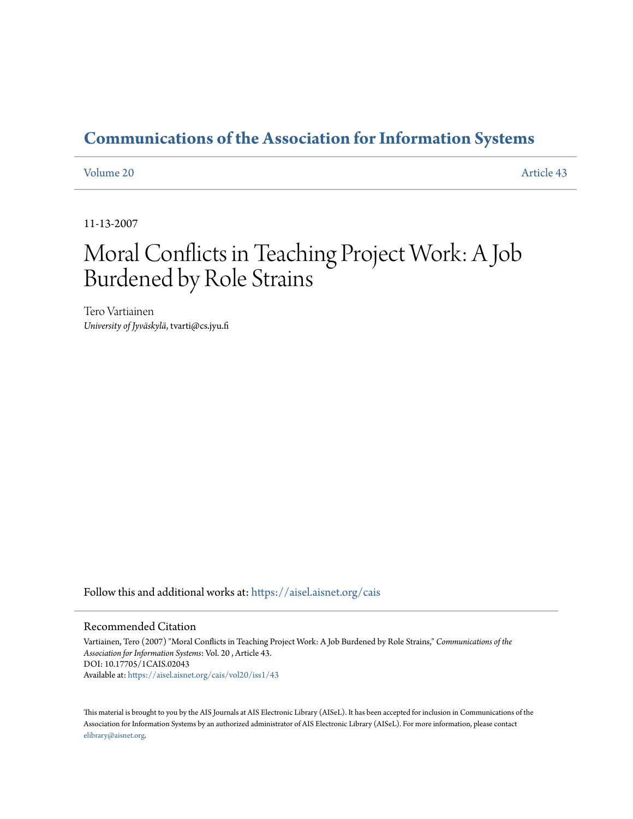# **[Communications of the Association for Information Systems](https://aisel.aisnet.org/cais?utm_source=aisel.aisnet.org%2Fcais%2Fvol20%2Fiss1%2F43&utm_medium=PDF&utm_campaign=PDFCoverPages)**

## [Volume 20](https://aisel.aisnet.org/cais/vol20?utm_source=aisel.aisnet.org%2Fcais%2Fvol20%2Fiss1%2F43&utm_medium=PDF&utm_campaign=PDFCoverPages) [Article 43](https://aisel.aisnet.org/cais/vol20/iss1/43?utm_source=aisel.aisnet.org%2Fcais%2Fvol20%2Fiss1%2F43&utm_medium=PDF&utm_campaign=PDFCoverPages)

11-13-2007

# Moral Conflicts in Teaching Project Work: A Job Burdened by Role Strains

Tero Vartiainen *University of Jyväskylä*, tvarti@cs.jyu.fi

Follow this and additional works at: [https://aisel.aisnet.org/cais](https://aisel.aisnet.org/cais?utm_source=aisel.aisnet.org%2Fcais%2Fvol20%2Fiss1%2F43&utm_medium=PDF&utm_campaign=PDFCoverPages)

#### Recommended Citation

Vartiainen, Tero (2007) "Moral Conflicts in Teaching Project Work: A Job Burdened by Role Strains," *Communications of the Association for Information Systems*: Vol. 20 , Article 43. DOI: 10.17705/1CAIS.02043 Available at: [https://aisel.aisnet.org/cais/vol20/iss1/43](https://aisel.aisnet.org/cais/vol20/iss1/43?utm_source=aisel.aisnet.org%2Fcais%2Fvol20%2Fiss1%2F43&utm_medium=PDF&utm_campaign=PDFCoverPages)

This material is brought to you by the AIS Journals at AIS Electronic Library (AISeL). It has been accepted for inclusion in Communications of the Association for Information Systems by an authorized administrator of AIS Electronic Library (AISeL). For more information, please contact [elibrary@aisnet.org.](mailto:elibrary@aisnet.org%3E)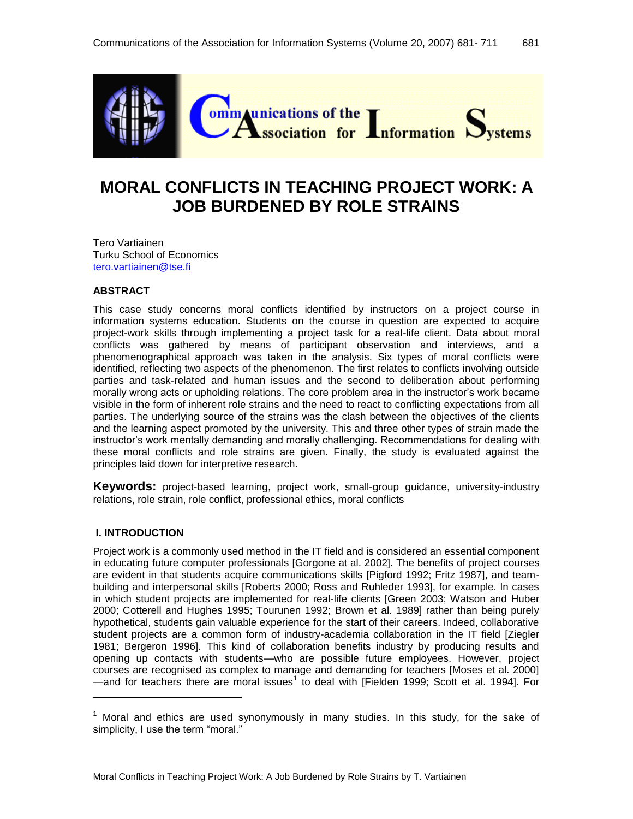

# **MORAL CONFLICTS IN TEACHING PROJECT WORK: A JOB BURDENED BY ROLE STRAINS**

Tero Vartiainen Turku School of Economics tero.vartiainen@tse.fi

#### **ABSTRACT**

This case study concerns moral conflicts identified by instructors on a project course in information systems education. Students on the course in question are expected to acquire project-work skills through implementing a project task for a real-life client. Data about moral conflicts was gathered by means of participant observation and interviews, and a phenomenographical approach was taken in the analysis. Six types of moral conflicts were identified, reflecting two aspects of the phenomenon. The first relates to conflicts involving outside parties and task-related and human issues and the second to deliberation about performing morally wrong acts or upholding relations. The core problem area in the instructor's work became visible in the form of inherent role strains and the need to react to conflicting expectations from all parties. The underlying source of the strains was the clash between the objectives of the clients and the learning aspect promoted by the university. This and three other types of strain made the instructor's work mentally demanding and morally challenging. Recommendations for dealing with these moral conflicts and role strains are given. Finally, the study is evaluated against the principles laid down for interpretive research.

**Keywords:** project-based learning, project work, small-group guidance, university-industry relations, role strain, role conflict, professional ethics, moral conflicts

#### **I. INTRODUCTION**

l

Project work is a commonly used method in the IT field and is considered an essential component in educating future computer professionals [Gorgone at al. 2002]. The benefits of project courses are evident in that students acquire communications skills [Pigford 1992; Fritz 1987], and teambuilding and interpersonal skills [Roberts 2000; Ross and Ruhleder 1993], for example. In cases in which student projects are implemented for real-life clients [Green 2003; Watson and Huber 2000; Cotterell and Hughes 1995; Tourunen 1992; Brown et al. 1989] rather than being purely hypothetical, students gain valuable experience for the start of their careers. Indeed, collaborative student projects are a common form of industry-academia collaboration in the IT field [Ziegler 1981; Bergeron 1996]. This kind of collaboration benefits industry by producing results and opening up contacts with students—who are possible future employees. However, project courses are recognised as complex to manage and demanding for teachers [Moses et al. 2000] and for teachers there are moral issues<sup>1</sup> to deal with [Fielden 1999; Scott et al. 1994]. For

 $<sup>1</sup>$  Moral and ethics are used synonymously in many studies. In this study, for the sake of</sup> simplicity, I use the term "moral."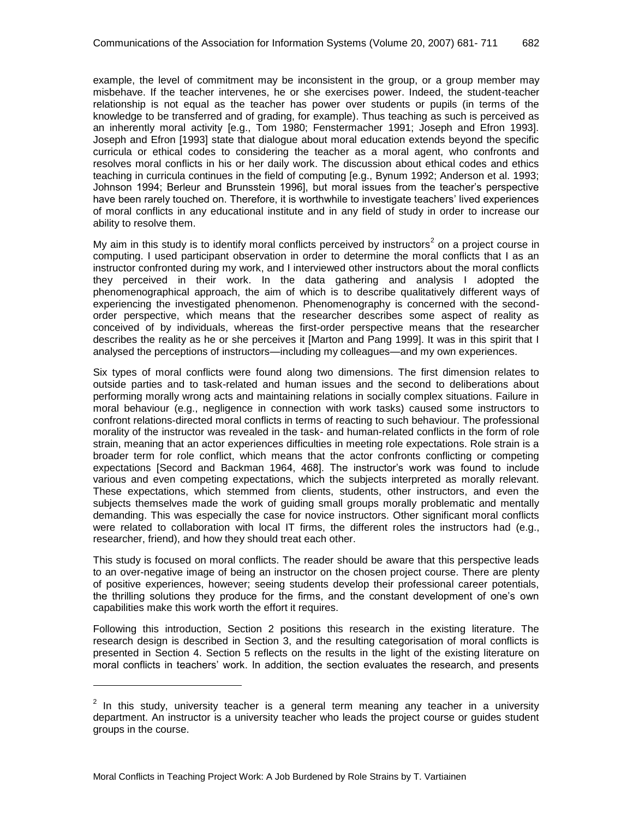example, the level of commitment may be inconsistent in the group, or a group member may misbehave. If the teacher intervenes, he or she exercises power. Indeed, the student-teacher relationship is not equal as the teacher has power over students or pupils (in terms of the knowledge to be transferred and of grading, for example). Thus teaching as such is perceived as an inherently moral activity [e.g., Tom 1980; Fenstermacher 1991; Joseph and Efron 1993]. Joseph and Efron [1993] state that dialogue about moral education extends beyond the specific curricula or ethical codes to considering the teacher as a moral agent, who confronts and resolves moral conflicts in his or her daily work. The discussion about ethical codes and ethics teaching in curricula continues in the field of computing [e.g., Bynum 1992; Anderson et al. 1993; Johnson 1994; Berleur and Brunsstein 1996], but moral issues from the teacher's perspective have been rarely touched on. Therefore, it is worthwhile to investigate teachers' lived experiences of moral conflicts in any educational institute and in any field of study in order to increase our ability to resolve them.

My aim in this study is to identify moral conflicts perceived by instructors<sup>2</sup> on a project course in computing. I used participant observation in order to determine the moral conflicts that I as an instructor confronted during my work, and I interviewed other instructors about the moral conflicts they perceived in their work. In the data gathering and analysis I adopted the phenomenographical approach, the aim of which is to describe qualitatively different ways of experiencing the investigated phenomenon. Phenomenography is concerned with the secondorder perspective, which means that the researcher describes some aspect of reality as conceived of by individuals, whereas the first-order perspective means that the researcher describes the reality as he or she perceives it [Marton and Pang 1999]. It was in this spirit that I analysed the perceptions of instructors—including my colleagues—and my own experiences.

Six types of moral conflicts were found along two dimensions. The first dimension relates to outside parties and to task-related and human issues and the second to deliberations about performing morally wrong acts and maintaining relations in socially complex situations. Failure in moral behaviour (e.g., negligence in connection with work tasks) caused some instructors to confront relations-directed moral conflicts in terms of reacting to such behaviour. The professional morality of the instructor was revealed in the task- and human-related conflicts in the form of role strain, meaning that an actor experiences difficulties in meeting role expectations. Role strain is a broader term for role conflict, which means that the actor confronts conflicting or competing expectations [Secord and Backman 1964, 468]. The instructor's work was found to include various and even competing expectations, which the subjects interpreted as morally relevant. These expectations, which stemmed from clients, students, other instructors, and even the subjects themselves made the work of guiding small groups morally problematic and mentally demanding. This was especially the case for novice instructors. Other significant moral conflicts were related to collaboration with local IT firms, the different roles the instructors had (e.g., researcher, friend), and how they should treat each other.

This study is focused on moral conflicts. The reader should be aware that this perspective leads to an over-negative image of being an instructor on the chosen project course. There are plenty of positive experiences, however; seeing students develop their professional career potentials, the thrilling solutions they produce for the firms, and the constant development of one's own capabilities make this work worth the effort it requires.

Following this introduction, Section 2 positions this research in the existing literature. The research design is described in Section 3, and the resulting categorisation of moral conflicts is presented in Section 4. Section 5 reflects on the results in the light of the existing literature on moral conflicts in teachers' work. In addition, the section evaluates the research, and presents

l

 $2$  In this study, university teacher is a general term meaning any teacher in a university department. An instructor is a university teacher who leads the project course or guides student groups in the course.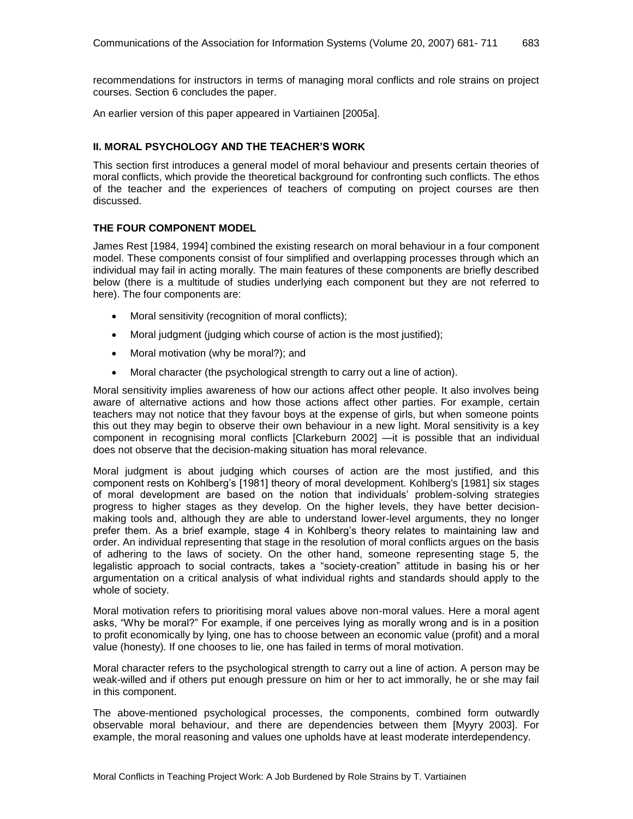recommendations for instructors in terms of managing moral conflicts and role strains on project courses. Section 6 concludes the paper.

An earlier version of this paper appeared in Vartiainen [2005a].

#### **II. MORAL PSYCHOLOGY AND THE TEACHER'S WORK**

This section first introduces a general model of moral behaviour and presents certain theories of moral conflicts, which provide the theoretical background for confronting such conflicts. The ethos of the teacher and the experiences of teachers of computing on project courses are then discussed.

#### **THE FOUR COMPONENT MODEL**

James Rest [1984, 1994] combined the existing research on moral behaviour in a four component model. These components consist of four simplified and overlapping processes through which an individual may fail in acting morally. The main features of these components are briefly described below (there is a multitude of studies underlying each component but they are not referred to here). The four components are:

- Moral sensitivity (recognition of moral conflicts);
- Moral judgment (judging which course of action is the most justified);
- Moral motivation (why be moral?); and
- Moral character (the psychological strength to carry out a line of action).

Moral sensitivity implies awareness of how our actions affect other people. It also involves being aware of alternative actions and how those actions affect other parties. For example, certain teachers may not notice that they favour boys at the expense of girls, but when someone points this out they may begin to observe their own behaviour in a new light. Moral sensitivity is a key component in recognising moral conflicts [Clarkeburn 2002] —it is possible that an individual does not observe that the decision-making situation has moral relevance.

Moral judgment is about judging which courses of action are the most justified, and this component rests on Kohlberg's [1981] theory of moral development. Kohlberg's [1981] six stages of moral development are based on the notion that individuals' problem-solving strategies progress to higher stages as they develop. On the higher levels, they have better decisionmaking tools and, although they are able to understand lower-level arguments, they no longer prefer them. As a brief example, stage 4 in Kohlberg's theory relates to maintaining law and order. An individual representing that stage in the resolution of moral conflicts argues on the basis of adhering to the laws of society. On the other hand, someone representing stage 5, the legalistic approach to social contracts, takes a "society-creation" attitude in basing his or her argumentation on a critical analysis of what individual rights and standards should apply to the whole of society.

Moral motivation refers to prioritising moral values above non-moral values. Here a moral agent asks, "Why be moral?" For example, if one perceives lying as morally wrong and is in a position to profit economically by lying, one has to choose between an economic value (profit) and a moral value (honesty). If one chooses to lie, one has failed in terms of moral motivation.

Moral character refers to the psychological strength to carry out a line of action. A person may be weak-willed and if others put enough pressure on him or her to act immorally, he or she may fail in this component.

The above-mentioned psychological processes, the components, combined form outwardly observable moral behaviour, and there are dependencies between them [Myyry 2003]. For example, the moral reasoning and values one upholds have at least moderate interdependency.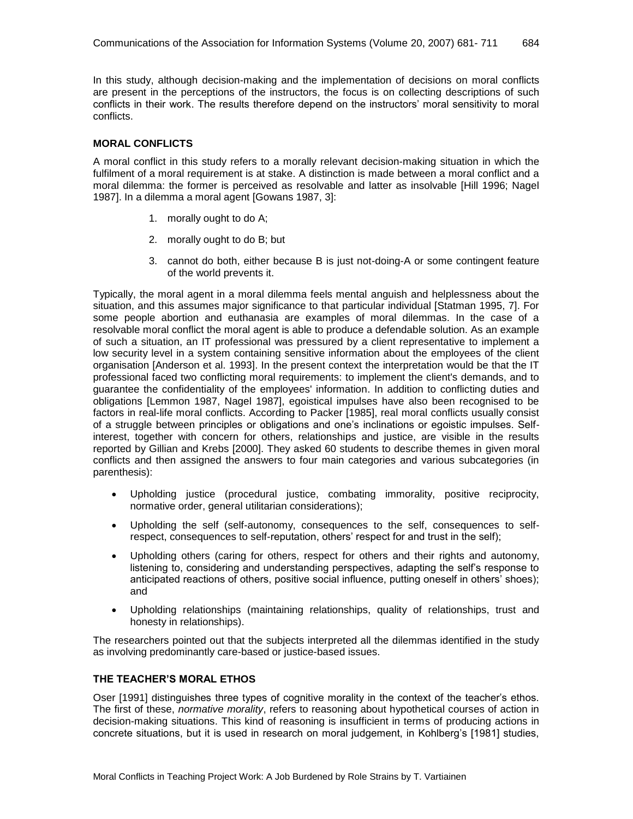In this study, although decision-making and the implementation of decisions on moral conflicts are present in the perceptions of the instructors, the focus is on collecting descriptions of such conflicts in their work. The results therefore depend on the instructors' moral sensitivity to moral conflicts.

#### **MORAL CONFLICTS**

A moral conflict in this study refers to a morally relevant decision-making situation in which the fulfilment of a moral requirement is at stake. A distinction is made between a moral conflict and a moral dilemma: the former is perceived as resolvable and latter as insolvable [Hill 1996; Nagel 1987]. In a dilemma a moral agent [Gowans 1987, 3]:

- 1. morally ought to do A;
- 2. morally ought to do B; but
- 3. cannot do both, either because B is just not-doing-A or some contingent feature of the world prevents it.

Typically, the moral agent in a moral dilemma feels mental anguish and helplessness about the situation, and this assumes major significance to that particular individual [Statman 1995, 7]. For some people abortion and euthanasia are examples of moral dilemmas. In the case of a resolvable moral conflict the moral agent is able to produce a defendable solution. As an example of such a situation, an IT professional was pressured by a client representative to implement a low security level in a system containing sensitive information about the employees of the client organisation [Anderson et al. 1993]. In the present context the interpretation would be that the IT professional faced two conflicting moral requirements: to implement the client's demands, and to guarantee the confidentiality of the employees' information. In addition to conflicting duties and obligations [Lemmon 1987, Nagel 1987], egoistical impulses have also been recognised to be factors in real-life moral conflicts. According to Packer [1985], real moral conflicts usually consist of a struggle between principles or obligations and one's inclinations or egoistic impulses. Selfinterest, together with concern for others, relationships and justice, are visible in the results reported by Gillian and Krebs [2000]. They asked 60 students to describe themes in given moral conflicts and then assigned the answers to four main categories and various subcategories (in parenthesis):

- Upholding justice (procedural justice, combating immorality, positive reciprocity, normative order, general utilitarian considerations);
- Upholding the self (self-autonomy, consequences to the self, consequences to selfrespect, consequences to self-reputation, others' respect for and trust in the self);
- Upholding others (caring for others, respect for others and their rights and autonomy, listening to, considering and understanding perspectives, adapting the self's response to anticipated reactions of others, positive social influence, putting oneself in others' shoes); and
- Upholding relationships (maintaining relationships, quality of relationships, trust and honesty in relationships).

The researchers pointed out that the subjects interpreted all the dilemmas identified in the study as involving predominantly care-based or justice-based issues.

## **THE TEACHER'S MORAL ETHOS**

Oser [1991] distinguishes three types of cognitive morality in the context of the teacher's ethos. The first of these, *normative morality*, refers to reasoning about hypothetical courses of action in decision-making situations. This kind of reasoning is insufficient in terms of producing actions in concrete situations, but it is used in research on moral judgement, in Kohlberg's [1981] studies,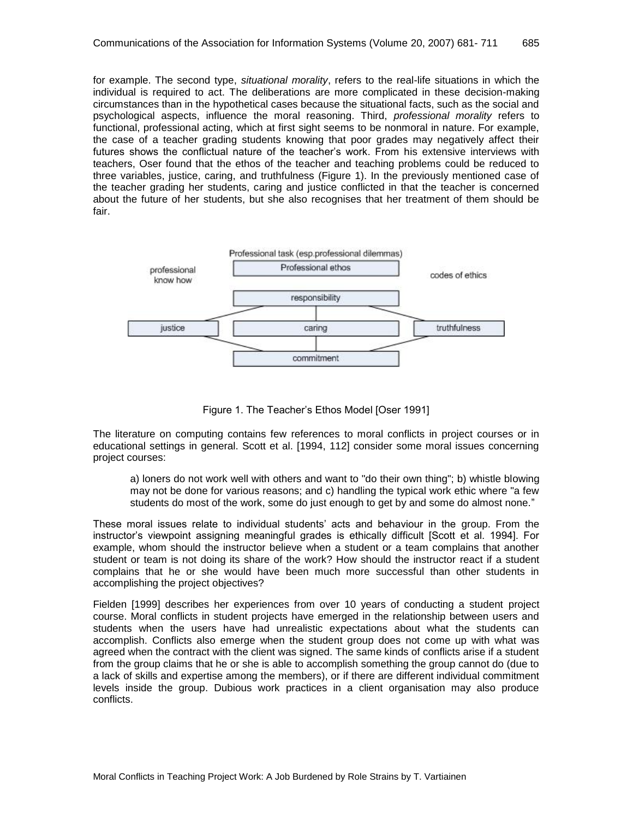for example. The second type, *situational morality*, refers to the real-life situations in which the individual is required to act. The deliberations are more complicated in these decision-making circumstances than in the hypothetical cases because the situational facts, such as the social and psychological aspects, influence the moral reasoning. Third, *professional morality* refers to functional, professional acting, which at first sight seems to be nonmoral in nature. For example, the case of a teacher grading students knowing that poor grades may negatively affect their futures shows the conflictual nature of the teacher's work. From his extensive interviews with teachers, Oser found that the ethos of the teacher and teaching problems could be reduced to three variables, justice, caring, and truthfulness (Figure 1). In the previously mentioned case of the teacher grading her students, caring and justice conflicted in that the teacher is concerned about the future of her students, but she also recognises that her treatment of them should be fair.



Figure 1. The Teacher's Ethos Model [Oser 1991]

The literature on computing contains few references to moral conflicts in project courses or in educational settings in general. Scott et al. [1994, 112] consider some moral issues concerning project courses:

a) loners do not work well with others and want to "do their own thing"; b) whistle blowing may not be done for various reasons; and c) handling the typical work ethic where "a few students do most of the work, some do just enough to get by and some do almost none."

These moral issues relate to individual students' acts and behaviour in the group. From the instructor's viewpoint assigning meaningful grades is ethically difficult [Scott et al. 1994]. For example, whom should the instructor believe when a student or a team complains that another student or team is not doing its share of the work? How should the instructor react if a student complains that he or she would have been much more successful than other students in accomplishing the project objectives?

Fielden [1999] describes her experiences from over 10 years of conducting a student project course. Moral conflicts in student projects have emerged in the relationship between users and students when the users have had unrealistic expectations about what the students can accomplish. Conflicts also emerge when the student group does not come up with what was agreed when the contract with the client was signed. The same kinds of conflicts arise if a student from the group claims that he or she is able to accomplish something the group cannot do (due to a lack of skills and expertise among the members), or if there are different individual commitment levels inside the group. Dubious work practices in a client organisation may also produce conflicts.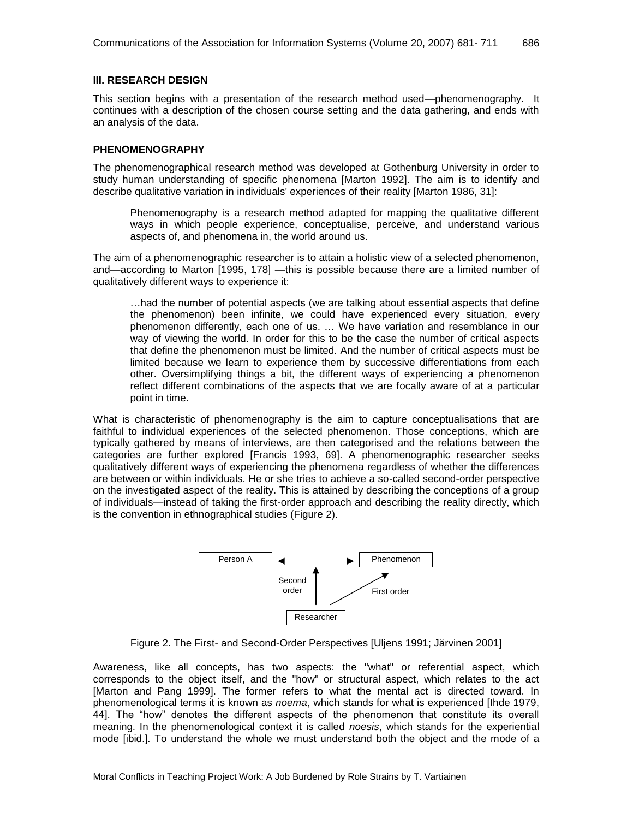#### **III. RESEARCH DESIGN**

This section begins with a presentation of the research method used—phenomenography. It continues with a description of the chosen course setting and the data gathering, and ends with an analysis of the data.

#### **PHENOMENOGRAPHY**

The phenomenographical research method was developed at Gothenburg University in order to study human understanding of specific phenomena [Marton 1992]. The aim is to identify and describe qualitative variation in individuals' experiences of their reality [Marton 1986, 31]:

Phenomenography is a research method adapted for mapping the qualitative different ways in which people experience, conceptualise, perceive, and understand various aspects of, and phenomena in, the world around us.

The aim of a phenomenographic researcher is to attain a holistic view of a selected phenomenon, and—according to Marton [1995, 178] —this is possible because there are a limited number of qualitatively different ways to experience it:

…had the number of potential aspects (we are talking about essential aspects that define the phenomenon) been infinite, we could have experienced every situation, every phenomenon differently, each one of us. … We have variation and resemblance in our way of viewing the world. In order for this to be the case the number of critical aspects that define the phenomenon must be limited. And the number of critical aspects must be limited because we learn to experience them by successive differentiations from each other. Oversimplifying things a bit, the different ways of experiencing a phenomenon reflect different combinations of the aspects that we are focally aware of at a particular point in time.

What is characteristic of phenomenography is the aim to capture conceptualisations that are faithful to individual experiences of the selected phenomenon. Those conceptions, which are typically gathered by means of interviews, are then categorised and the relations between the categories are further explored [Francis 1993, 69]. A phenomenographic researcher seeks qualitatively different ways of experiencing the phenomena regardless of whether the differences are between or within individuals. He or she tries to achieve a so-called second-order perspective on the investigated aspect of the reality. This is attained by describing the conceptions of a group of individuals—instead of taking the first-order approach and describing the reality directly, which is the convention in ethnographical studies (Figure 2).



Figure 2. The First- and Second-Order Perspectives [Uljens 1991; Järvinen 2001]

Awareness, like all concepts, has two aspects: the "what" or referential aspect, which corresponds to the object itself, and the "how" or structural aspect, which relates to the act [Marton and Pang 1999]. The former refers to what the mental act is directed toward. In phenomenological terms it is known as *noema*, which stands for what is experienced [Ihde 1979, 44]. The "how" denotes the different aspects of the phenomenon that constitute its overall meaning. In the phenomenological context it is called *noesis*, which stands for the experiential mode [ibid.]. To understand the whole we must understand both the object and the mode of a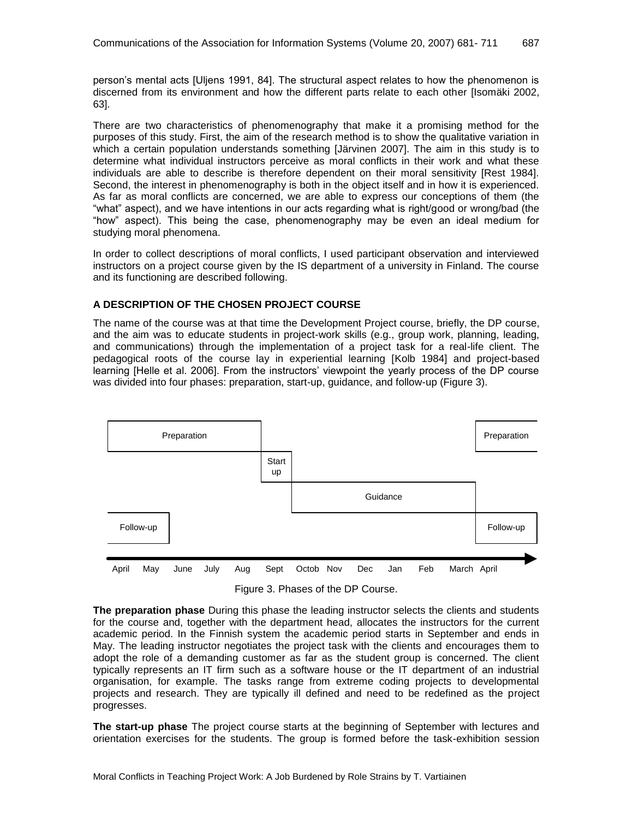person's mental acts [Uljens 1991, 84]. The structural aspect relates to how the phenomenon is discerned from its environment and how the different parts relate to each other [Isomäki 2002, 63].

There are two characteristics of phenomenography that make it a promising method for the purposes of this study. First, the aim of the research method is to show the qualitative variation in which a certain population understands something [Järvinen 2007]. The aim in this study is to determine what individual instructors perceive as moral conflicts in their work and what these individuals are able to describe is therefore dependent on their moral sensitivity [Rest 1984]. Second, the interest in phenomenography is both in the object itself and in how it is experienced. As far as moral conflicts are concerned, we are able to express our conceptions of them (the "what" aspect), and we have intentions in our acts regarding what is right/good or wrong/bad (the "how" aspect). This being the case, phenomenography may be even an ideal medium for studying moral phenomena.

In order to collect descriptions of moral conflicts, I used participant observation and interviewed instructors on a project course given by the IS department of a university in Finland. The course and its functioning are described following.

#### **A DESCRIPTION OF THE CHOSEN PROJECT COURSE**

The name of the course was at that time the Development Project course, briefly, the DP course, and the aim was to educate students in project-work skills (e.g., group work, planning, leading, and communications) through the implementation of a project task for a real-life client. The pedagogical roots of the course lay in experiential learning [Kolb 1984] and project-based learning [Helle et al. 2006]. From the instructors' viewpoint the yearly process of the DP course was divided into four phases: preparation, start-up, guidance, and follow-up (Figure 3).





**The preparation phase** During this phase the leading instructor selects the clients and students for the course and, together with the department head, allocates the instructors for the current academic period. In the Finnish system the academic period starts in September and ends in May. The leading instructor negotiates the project task with the clients and encourages them to adopt the role of a demanding customer as far as the student group is concerned. The client typically represents an IT firm such as a software house or the IT department of an industrial organisation, for example. The tasks range from extreme coding projects to developmental projects and research. They are typically ill defined and need to be redefined as the project progresses.

**The start-up phase** The project course starts at the beginning of September with lectures and orientation exercises for the students. The group is formed before the task-exhibition session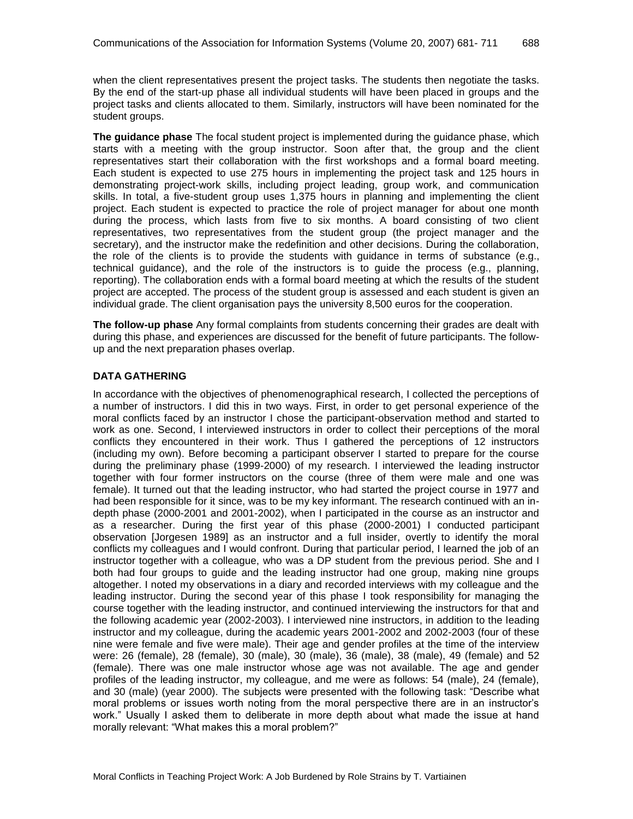when the client representatives present the project tasks. The students then negotiate the tasks. By the end of the start-up phase all individual students will have been placed in groups and the project tasks and clients allocated to them. Similarly, instructors will have been nominated for the student groups.

**The guidance phase** The focal student project is implemented during the guidance phase, which starts with a meeting with the group instructor. Soon after that, the group and the client representatives start their collaboration with the first workshops and a formal board meeting. Each student is expected to use 275 hours in implementing the project task and 125 hours in demonstrating project-work skills, including project leading, group work, and communication skills. In total, a five-student group uses 1,375 hours in planning and implementing the client project. Each student is expected to practice the role of project manager for about one month during the process, which lasts from five to six months. A board consisting of two client representatives, two representatives from the student group (the project manager and the secretary), and the instructor make the redefinition and other decisions. During the collaboration, the role of the clients is to provide the students with guidance in terms of substance (e.g., technical guidance), and the role of the instructors is to guide the process (e.g., planning, reporting). The collaboration ends with a formal board meeting at which the results of the student project are accepted. The process of the student group is assessed and each student is given an individual grade. The client organisation pays the university 8,500 euros for the cooperation.

**The follow-up phase** Any formal complaints from students concerning their grades are dealt with during this phase, and experiences are discussed for the benefit of future participants. The followup and the next preparation phases overlap.

#### **DATA GATHERING**

In accordance with the objectives of phenomenographical research, I collected the perceptions of a number of instructors. I did this in two ways. First, in order to get personal experience of the moral conflicts faced by an instructor I chose the participant-observation method and started to work as one. Second, I interviewed instructors in order to collect their perceptions of the moral conflicts they encountered in their work. Thus I gathered the perceptions of 12 instructors (including my own). Before becoming a participant observer I started to prepare for the course during the preliminary phase (1999-2000) of my research. I interviewed the leading instructor together with four former instructors on the course (three of them were male and one was female). It turned out that the leading instructor, who had started the project course in 1977 and had been responsible for it since, was to be my key informant. The research continued with an indepth phase (2000-2001 and 2001-2002), when I participated in the course as an instructor and as a researcher. During the first year of this phase (2000-2001) I conducted participant observation [Jorgesen 1989] as an instructor and a full insider, overtly to identify the moral conflicts my colleagues and I would confront. During that particular period, I learned the job of an instructor together with a colleague, who was a DP student from the previous period. She and I both had four groups to guide and the leading instructor had one group, making nine groups altogether. I noted my observations in a diary and recorded interviews with my colleague and the leading instructor. During the second year of this phase I took responsibility for managing the course together with the leading instructor, and continued interviewing the instructors for that and the following academic year (2002-2003). I interviewed nine instructors, in addition to the leading instructor and my colleague, during the academic years 2001-2002 and 2002-2003 (four of these nine were female and five were male). Their age and gender profiles at the time of the interview were: 26 (female), 28 (female), 30 (male), 30 (male), 36 (male), 38 (male), 49 (female) and 52 (female). There was one male instructor whose age was not available. The age and gender profiles of the leading instructor, my colleague, and me were as follows: 54 (male), 24 (female), and 30 (male) (year 2000). The subjects were presented with the following task: "Describe what moral problems or issues worth noting from the moral perspective there are in an instructor's work." Usually I asked them to deliberate in more depth about what made the issue at hand morally relevant: "What makes this a moral problem?"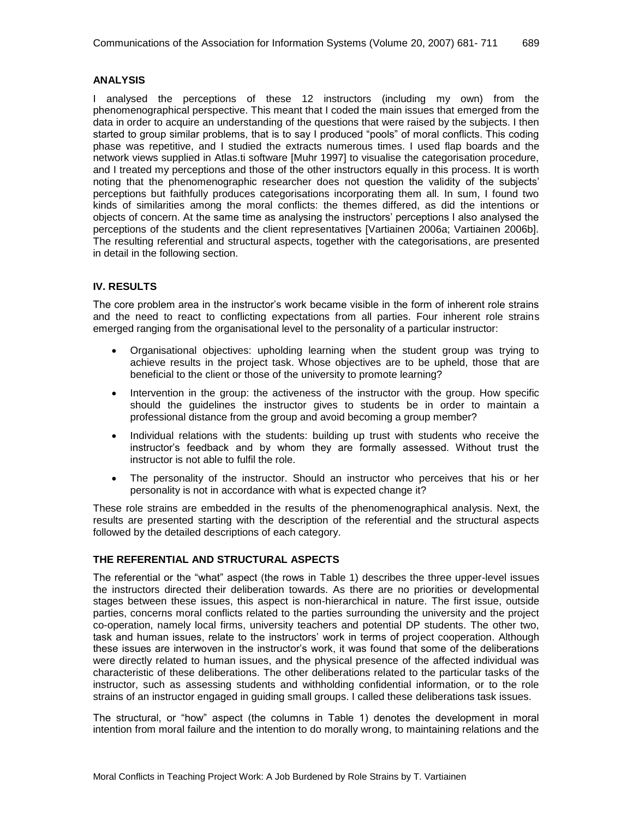#### **ANALYSIS**

I analysed the perceptions of these 12 instructors (including my own) from the phenomenographical perspective. This meant that I coded the main issues that emerged from the data in order to acquire an understanding of the questions that were raised by the subjects. I then started to group similar problems, that is to say I produced "pools" of moral conflicts. This coding phase was repetitive, and I studied the extracts numerous times. I used flap boards and the network views supplied in Atlas.ti software [Muhr 1997] to visualise the categorisation procedure, and I treated my perceptions and those of the other instructors equally in this process. It is worth noting that the phenomenographic researcher does not question the validity of the subjects' perceptions but faithfully produces categorisations incorporating them all. In sum, I found two kinds of similarities among the moral conflicts: the themes differed, as did the intentions or objects of concern. At the same time as analysing the instructors' perceptions I also analysed the perceptions of the students and the client representatives [Vartiainen 2006a; Vartiainen 2006b]. The resulting referential and structural aspects, together with the categorisations, are presented in detail in the following section.

#### **IV. RESULTS**

The core problem area in the instructor's work became visible in the form of inherent role strains and the need to react to conflicting expectations from all parties. Four inherent role strains emerged ranging from the organisational level to the personality of a particular instructor:

- Organisational objectives: upholding learning when the student group was trying to achieve results in the project task. Whose objectives are to be upheld, those that are beneficial to the client or those of the university to promote learning?
- Intervention in the group: the activeness of the instructor with the group. How specific should the guidelines the instructor gives to students be in order to maintain a professional distance from the group and avoid becoming a group member?
- Individual relations with the students: building up trust with students who receive the instructor's feedback and by whom they are formally assessed. Without trust the instructor is not able to fulfil the role.
- The personality of the instructor. Should an instructor who perceives that his or her personality is not in accordance with what is expected change it?

These role strains are embedded in the results of the phenomenographical analysis. Next, the results are presented starting with the description of the referential and the structural aspects followed by the detailed descriptions of each category.

#### **THE REFERENTIAL AND STRUCTURAL ASPECTS**

The referential or the "what" aspect (the rows in Table 1) describes the three upper-level issues the instructors directed their deliberation towards. As there are no priorities or developmental stages between these issues, this aspect is non-hierarchical in nature. The first issue, outside parties, concerns moral conflicts related to the parties surrounding the university and the project co-operation, namely local firms, university teachers and potential DP students. The other two, task and human issues, relate to the instructors' work in terms of project cooperation. Although these issues are interwoven in the instructor's work, it was found that some of the deliberations were directly related to human issues, and the physical presence of the affected individual was characteristic of these deliberations. The other deliberations related to the particular tasks of the instructor, such as assessing students and withholding confidential information, or to the role strains of an instructor engaged in guiding small groups. I called these deliberations task issues.

The structural, or "how" aspect (the columns in Table 1) denotes the development in moral intention from moral failure and the intention to do morally wrong, to maintaining relations and the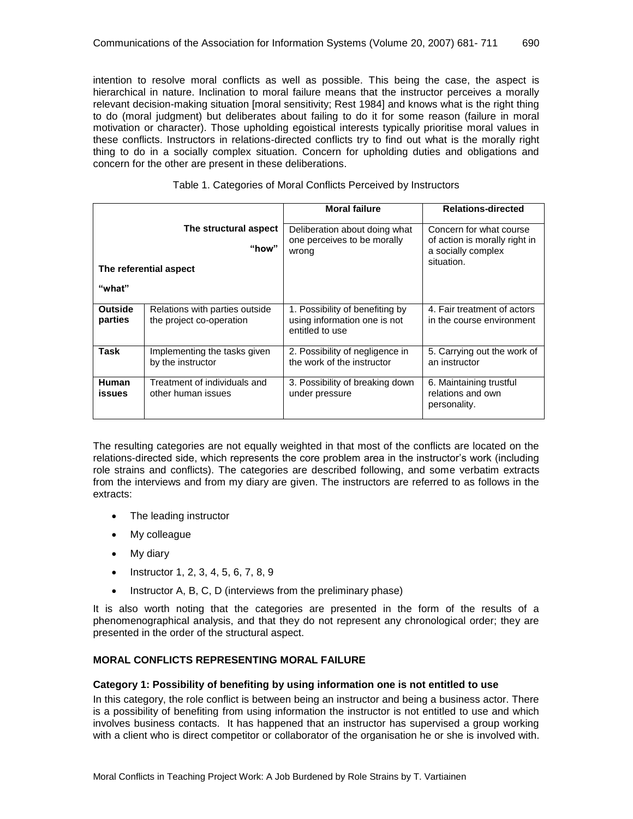intention to resolve moral conflicts as well as possible. This being the case, the aspect is hierarchical in nature. Inclination to moral failure means that the instructor perceives a morally relevant decision-making situation [moral sensitivity; Rest 1984] and knows what is the right thing to do (moral judgment) but deliberates about failing to do it for some reason (failure in moral motivation or character). Those upholding egoistical interests typically prioritise moral values in these conflicts. Instructors in relations-directed conflicts try to find out what is the morally right thing to do in a socially complex situation. Concern for upholding duties and obligations and concern for the other are present in these deliberations.

|                                                                    |                                                            | <b>Moral failure</b>                                                               | <b>Relations-directed</b>                                                                    |  |  |  |  |
|--------------------------------------------------------------------|------------------------------------------------------------|------------------------------------------------------------------------------------|----------------------------------------------------------------------------------------------|--|--|--|--|
| The structural aspect<br>"how"<br>The referential aspect<br>"what" |                                                            | Deliberation about doing what<br>one perceives to be morally<br>wrong              | Concern for what course<br>of action is morally right in<br>a socially complex<br>situation. |  |  |  |  |
| <b>Outside</b><br>parties                                          | Relations with parties outside<br>the project co-operation | 1. Possibility of benefiting by<br>using information one is not<br>entitled to use | 4. Fair treatment of actors<br>in the course environment                                     |  |  |  |  |
| <b>Task</b>                                                        | Implementing the tasks given<br>by the instructor          | 2. Possibility of negligence in<br>the work of the instructor                      | 5. Carrying out the work of<br>an instructor                                                 |  |  |  |  |
| <b>Human</b><br>issues                                             | Treatment of individuals and<br>other human issues         | 3. Possibility of breaking down<br>under pressure                                  | 6. Maintaining trustful<br>relations and own<br>personality.                                 |  |  |  |  |

Table 1. Categories of Moral Conflicts Perceived by Instructors

The resulting categories are not equally weighted in that most of the conflicts are located on the relations-directed side, which represents the core problem area in the instructor's work (including role strains and conflicts). The categories are described following, and some verbatim extracts from the interviews and from my diary are given. The instructors are referred to as follows in the extracts:

- The leading instructor
- My colleague
- My diary
- $\bullet$  Instructor 1, 2, 3, 4, 5, 6, 7, 8, 9
- Instructor A, B, C, D (interviews from the preliminary phase)

It is also worth noting that the categories are presented in the form of the results of a phenomenographical analysis, and that they do not represent any chronological order; they are presented in the order of the structural aspect.

## **MORAL CONFLICTS REPRESENTING MORAL FAILURE**

#### **Category 1: Possibility of benefiting by using information one is not entitled to use**

In this category, the role conflict is between being an instructor and being a business actor. There is a possibility of benefiting from using information the instructor is not entitled to use and which involves business contacts. It has happened that an instructor has supervised a group working with a client who is direct competitor or collaborator of the organisation he or she is involved with.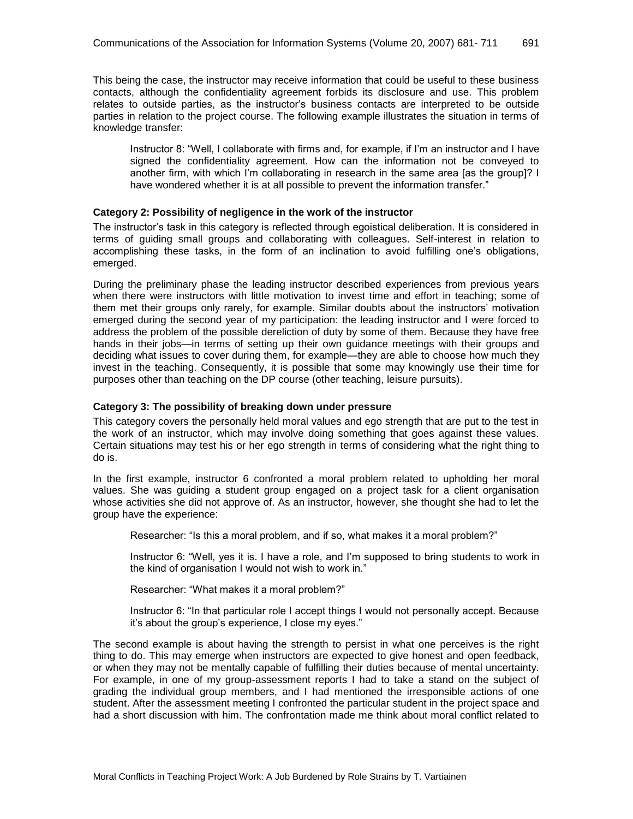This being the case, the instructor may receive information that could be useful to these business contacts, although the confidentiality agreement forbids its disclosure and use. This problem relates to outside parties, as the instructor's business contacts are interpreted to be outside parties in relation to the project course. The following example illustrates the situation in terms of knowledge transfer:

Instructor 8: "Well, I collaborate with firms and, for example, if I'm an instructor and I have signed the confidentiality agreement. How can the information not be conveyed to another firm, with which I'm collaborating in research in the same area [as the group]? I have wondered whether it is at all possible to prevent the information transfer."

#### **Category 2: Possibility of negligence in the work of the instructor**

The instructor's task in this category is reflected through egoistical deliberation. It is considered in terms of guiding small groups and collaborating with colleagues. Self-interest in relation to accomplishing these tasks, in the form of an inclination to avoid fulfilling one's obligations, emerged.

During the preliminary phase the leading instructor described experiences from previous years when there were instructors with little motivation to invest time and effort in teaching; some of them met their groups only rarely, for example. Similar doubts about the instructors' motivation emerged during the second year of my participation: the leading instructor and I were forced to address the problem of the possible dereliction of duty by some of them. Because they have free hands in their jobs—in terms of setting up their own guidance meetings with their groups and deciding what issues to cover during them, for example—they are able to choose how much they invest in the teaching. Consequently, it is possible that some may knowingly use their time for purposes other than teaching on the DP course (other teaching, leisure pursuits).

#### **Category 3: The possibility of breaking down under pressure**

This category covers the personally held moral values and ego strength that are put to the test in the work of an instructor, which may involve doing something that goes against these values. Certain situations may test his or her ego strength in terms of considering what the right thing to do is.

In the first example, instructor 6 confronted a moral problem related to upholding her moral values. She was guiding a student group engaged on a project task for a client organisation whose activities she did not approve of. As an instructor, however, she thought she had to let the group have the experience:

Researcher: "Is this a moral problem, and if so, what makes it a moral problem?"

Instructor 6: "Well, yes it is. I have a role, and I'm supposed to bring students to work in the kind of organisation I would not wish to work in."

Researcher: "What makes it a moral problem?"

Instructor 6: "In that particular role I accept things I would not personally accept. Because it's about the group's experience, I close my eyes."

The second example is about having the strength to persist in what one perceives is the right thing to do. This may emerge when instructors are expected to give honest and open feedback, or when they may not be mentally capable of fulfilling their duties because of mental uncertainty. For example, in one of my group-assessment reports I had to take a stand on the subject of grading the individual group members, and I had mentioned the irresponsible actions of one student. After the assessment meeting I confronted the particular student in the project space and had a short discussion with him. The confrontation made me think about moral conflict related to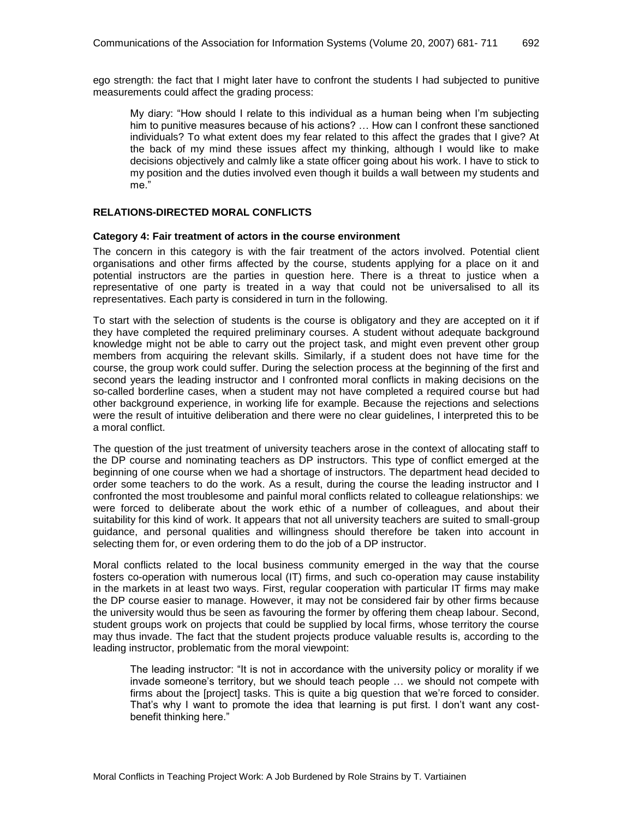ego strength: the fact that I might later have to confront the students I had subjected to punitive measurements could affect the grading process:

My diary: "How should I relate to this individual as a human being when I'm subjecting him to punitive measures because of his actions? … How can I confront these sanctioned individuals? To what extent does my fear related to this affect the grades that I give? At the back of my mind these issues affect my thinking, although I would like to make decisions objectively and calmly like a state officer going about his work. I have to stick to my position and the duties involved even though it builds a wall between my students and me."

#### **RELATIONS-DIRECTED MORAL CONFLICTS**

#### **Category 4: Fair treatment of actors in the course environment**

The concern in this category is with the fair treatment of the actors involved. Potential client organisations and other firms affected by the course, students applying for a place on it and potential instructors are the parties in question here. There is a threat to justice when a representative of one party is treated in a way that could not be universalised to all its representatives. Each party is considered in turn in the following.

To start with the selection of students is the course is obligatory and they are accepted on it if they have completed the required preliminary courses. A student without adequate background knowledge might not be able to carry out the project task, and might even prevent other group members from acquiring the relevant skills. Similarly, if a student does not have time for the course, the group work could suffer. During the selection process at the beginning of the first and second years the leading instructor and I confronted moral conflicts in making decisions on the so-called borderline cases, when a student may not have completed a required course but had other background experience, in working life for example. Because the rejections and selections were the result of intuitive deliberation and there were no clear guidelines, I interpreted this to be a moral conflict.

The question of the just treatment of university teachers arose in the context of allocating staff to the DP course and nominating teachers as DP instructors. This type of conflict emerged at the beginning of one course when we had a shortage of instructors. The department head decided to order some teachers to do the work. As a result, during the course the leading instructor and I confronted the most troublesome and painful moral conflicts related to colleague relationships: we were forced to deliberate about the work ethic of a number of colleagues, and about their suitability for this kind of work. It appears that not all university teachers are suited to small-group guidance, and personal qualities and willingness should therefore be taken into account in selecting them for, or even ordering them to do the job of a DP instructor.

Moral conflicts related to the local business community emerged in the way that the course fosters co-operation with numerous local (IT) firms, and such co-operation may cause instability in the markets in at least two ways. First, regular cooperation with particular IT firms may make the DP course easier to manage. However, it may not be considered fair by other firms because the university would thus be seen as favouring the former by offering them cheap labour. Second, student groups work on projects that could be supplied by local firms, whose territory the course may thus invade. The fact that the student projects produce valuable results is, according to the leading instructor, problematic from the moral viewpoint:

The leading instructor: "It is not in accordance with the university policy or morality if we invade someone's territory, but we should teach people … we should not compete with firms about the [project] tasks. This is quite a big question that we're forced to consider. That's why I want to promote the idea that learning is put first. I don't want any costbenefit thinking here."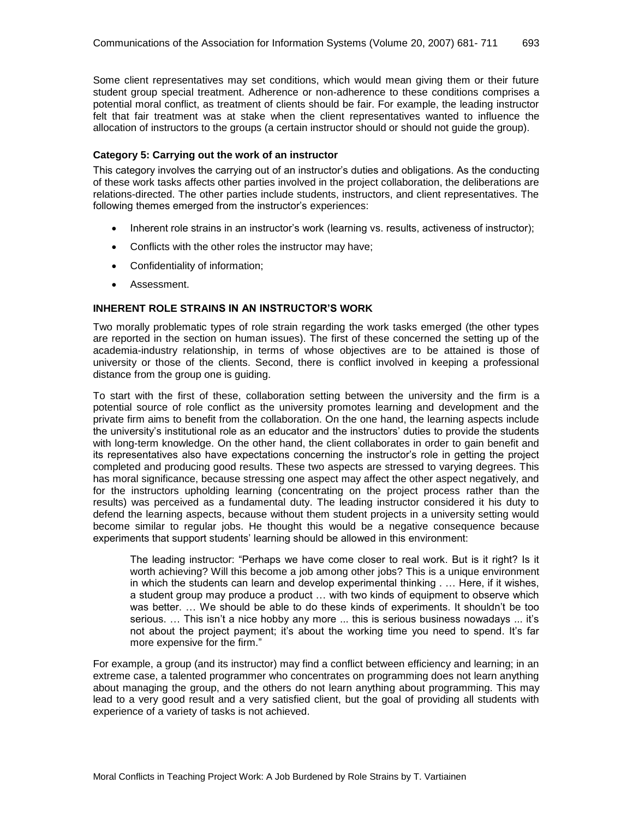Some client representatives may set conditions, which would mean giving them or their future student group special treatment. Adherence or non-adherence to these conditions comprises a potential moral conflict, as treatment of clients should be fair. For example, the leading instructor felt that fair treatment was at stake when the client representatives wanted to influence the allocation of instructors to the groups (a certain instructor should or should not guide the group).

#### **Category 5: Carrying out the work of an instructor**

This category involves the carrying out of an instructor's duties and obligations. As the conducting of these work tasks affects other parties involved in the project collaboration, the deliberations are relations-directed. The other parties include students, instructors, and client representatives. The following themes emerged from the instructor's experiences:

- Inherent role strains in an instructor's work (learning vs. results, activeness of instructor);
- Conflicts with the other roles the instructor may have;
- Confidentiality of information;
- Assessment.

#### **INHERENT ROLE STRAINS IN AN INSTRUCTOR'S WORK**

Two morally problematic types of role strain regarding the work tasks emerged (the other types are reported in the section on human issues). The first of these concerned the setting up of the academia-industry relationship, in terms of whose objectives are to be attained is those of university or those of the clients. Second, there is conflict involved in keeping a professional distance from the group one is guiding.

To start with the first of these, collaboration setting between the university and the firm is a potential source of role conflict as the university promotes learning and development and the private firm aims to benefit from the collaboration. On the one hand, the learning aspects include the university's institutional role as an educator and the instructors' duties to provide the students with long-term knowledge. On the other hand, the client collaborates in order to gain benefit and its representatives also have expectations concerning the instructor's role in getting the project completed and producing good results. These two aspects are stressed to varying degrees. This has moral significance, because stressing one aspect may affect the other aspect negatively, and for the instructors upholding learning (concentrating on the project process rather than the results) was perceived as a fundamental duty. The leading instructor considered it his duty to defend the learning aspects, because without them student projects in a university setting would become similar to regular jobs. He thought this would be a negative consequence because experiments that support students' learning should be allowed in this environment:

The leading instructor: "Perhaps we have come closer to real work. But is it right? Is it worth achieving? Will this become a job among other jobs? This is a unique environment in which the students can learn and develop experimental thinking . … Here, if it wishes, a student group may produce a product … with two kinds of equipment to observe which was better. … We should be able to do these kinds of experiments. It shouldn't be too serious. … This isn't a nice hobby any more ... this is serious business nowadays ... it's not about the project payment; it's about the working time you need to spend. It's far more expensive for the firm."

For example, a group (and its instructor) may find a conflict between efficiency and learning; in an extreme case, a talented programmer who concentrates on programming does not learn anything about managing the group, and the others do not learn anything about programming. This may lead to a very good result and a very satisfied client, but the goal of providing all students with experience of a variety of tasks is not achieved.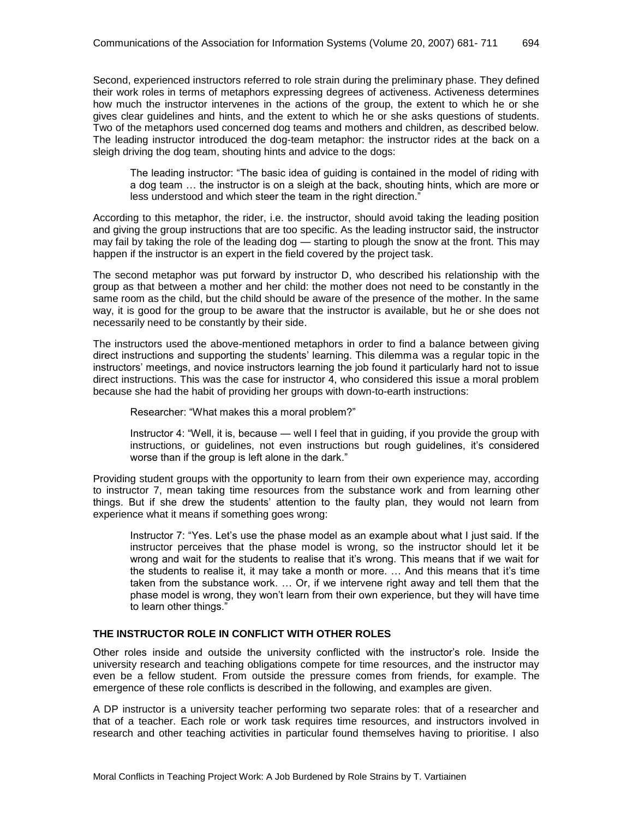Second, experienced instructors referred to role strain during the preliminary phase. They defined their work roles in terms of metaphors expressing degrees of activeness. Activeness determines how much the instructor intervenes in the actions of the group, the extent to which he or she gives clear guidelines and hints, and the extent to which he or she asks questions of students. Two of the metaphors used concerned dog teams and mothers and children, as described below. The leading instructor introduced the dog-team metaphor: the instructor rides at the back on a sleigh driving the dog team, shouting hints and advice to the dogs:

The leading instructor: "The basic idea of guiding is contained in the model of riding with a dog team … the instructor is on a sleigh at the back, shouting hints, which are more or less understood and which steer the team in the right direction."

According to this metaphor, the rider, i.e. the instructor, should avoid taking the leading position and giving the group instructions that are too specific. As the leading instructor said, the instructor may fail by taking the role of the leading dog — starting to plough the snow at the front. This may happen if the instructor is an expert in the field covered by the project task.

The second metaphor was put forward by instructor D, who described his relationship with the group as that between a mother and her child: the mother does not need to be constantly in the same room as the child, but the child should be aware of the presence of the mother. In the same way, it is good for the group to be aware that the instructor is available, but he or she does not necessarily need to be constantly by their side.

The instructors used the above-mentioned metaphors in order to find a balance between giving direct instructions and supporting the students' learning. This dilemma was a regular topic in the instructors' meetings, and novice instructors learning the job found it particularly hard not to issue direct instructions. This was the case for instructor 4, who considered this issue a moral problem because she had the habit of providing her groups with down-to-earth instructions:

Researcher: "What makes this a moral problem?"

Instructor 4: "Well, it is, because — well I feel that in guiding, if you provide the group with instructions, or guidelines, not even instructions but rough guidelines, it's considered worse than if the group is left alone in the dark."

Providing student groups with the opportunity to learn from their own experience may, according to instructor 7, mean taking time resources from the substance work and from learning other things. But if she drew the students' attention to the faulty plan, they would not learn from experience what it means if something goes wrong:

Instructor 7: "Yes. Let's use the phase model as an example about what I just said. If the instructor perceives that the phase model is wrong, so the instructor should let it be wrong and wait for the students to realise that it's wrong. This means that if we wait for the students to realise it, it may take a month or more. … And this means that it's time taken from the substance work. … Or, if we intervene right away and tell them that the phase model is wrong, they won't learn from their own experience, but they will have time to learn other things."

#### **THE INSTRUCTOR ROLE IN CONFLICT WITH OTHER ROLES**

Other roles inside and outside the university conflicted with the instructor's role. Inside the university research and teaching obligations compete for time resources, and the instructor may even be a fellow student. From outside the pressure comes from friends, for example. The emergence of these role conflicts is described in the following, and examples are given.

A DP instructor is a university teacher performing two separate roles: that of a researcher and that of a teacher. Each role or work task requires time resources, and instructors involved in research and other teaching activities in particular found themselves having to prioritise. I also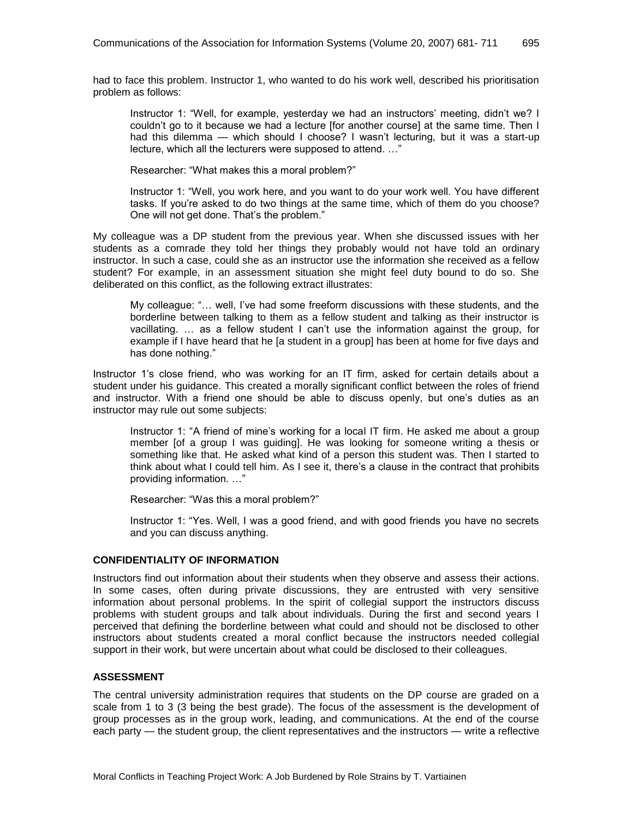had to face this problem. Instructor 1, who wanted to do his work well, described his prioritisation problem as follows:

Instructor 1: "Well, for example, yesterday we had an instructors' meeting, didn't we? I couldn't go to it because we had a lecture [for another course] at the same time. Then I had this dilemma — which should I choose? I wasn't lecturing, but it was a start-up lecture, which all the lecturers were supposed to attend. …"

Researcher: "What makes this a moral problem?"

Instructor 1: "Well, you work here, and you want to do your work well. You have different tasks. If you're asked to do two things at the same time, which of them do you choose? One will not get done. That's the problem."

My colleague was a DP student from the previous year. When she discussed issues with her students as a comrade they told her things they probably would not have told an ordinary instructor. In such a case, could she as an instructor use the information she received as a fellow student? For example, in an assessment situation she might feel duty bound to do so. She deliberated on this conflict, as the following extract illustrates:

My colleague: "… well, I've had some freeform discussions with these students, and the borderline between talking to them as a fellow student and talking as their instructor is vacillating. … as a fellow student I can't use the information against the group, for example if I have heard that he [a student in a group] has been at home for five days and has done nothing."

Instructor 1's close friend, who was working for an IT firm, asked for certain details about a student under his guidance. This created a morally significant conflict between the roles of friend and instructor. With a friend one should be able to discuss openly, but one's duties as an instructor may rule out some subjects:

Instructor 1: "A friend of mine's working for a local IT firm. He asked me about a group member [of a group I was guiding]. He was looking for someone writing a thesis or something like that. He asked what kind of a person this student was. Then I started to think about what I could tell him. As I see it, there's a clause in the contract that prohibits providing information. …"

Researcher: "Was this a moral problem?"

Instructor 1: "Yes. Well, I was a good friend, and with good friends you have no secrets and you can discuss anything.

#### **CONFIDENTIALITY OF INFORMATION**

Instructors find out information about their students when they observe and assess their actions. In some cases, often during private discussions, they are entrusted with very sensitive information about personal problems. In the spirit of collegial support the instructors discuss problems with student groups and talk about individuals. During the first and second years I perceived that defining the borderline between what could and should not be disclosed to other instructors about students created a moral conflict because the instructors needed collegial support in their work, but were uncertain about what could be disclosed to their colleagues.

#### **ASSESSMENT**

The central university administration requires that students on the DP course are graded on a scale from 1 to 3 (3 being the best grade). The focus of the assessment is the development of group processes as in the group work, leading, and communications. At the end of the course each party — the student group, the client representatives and the instructors — write a reflective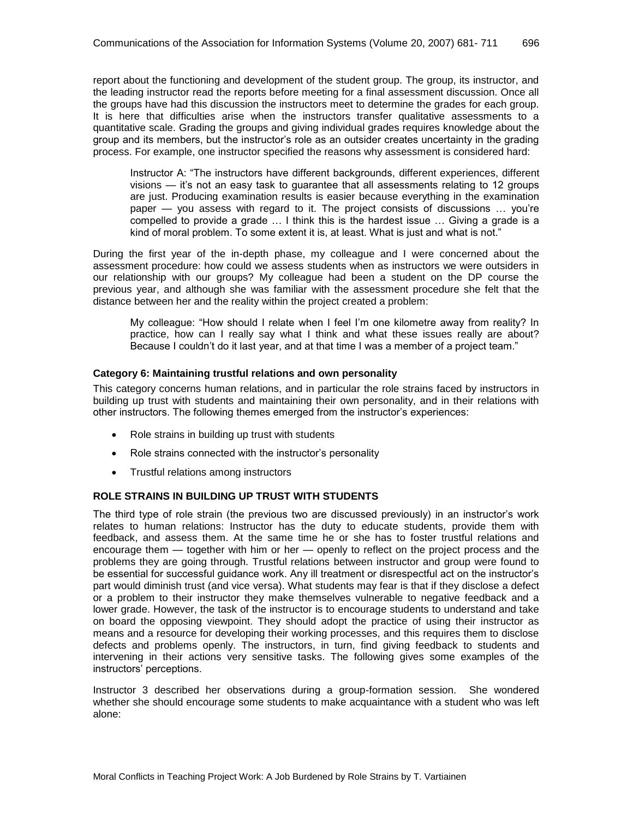report about the functioning and development of the student group. The group, its instructor, and the leading instructor read the reports before meeting for a final assessment discussion. Once all the groups have had this discussion the instructors meet to determine the grades for each group. It is here that difficulties arise when the instructors transfer qualitative assessments to a quantitative scale. Grading the groups and giving individual grades requires knowledge about the group and its members, but the instructor's role as an outsider creates uncertainty in the grading process. For example, one instructor specified the reasons why assessment is considered hard:

Instructor A: "The instructors have different backgrounds, different experiences, different visions — it's not an easy task to guarantee that all assessments relating to 12 groups are just. Producing examination results is easier because everything in the examination paper — you assess with regard to it. The project consists of discussions … you're compelled to provide a grade … I think this is the hardest issue … Giving a grade is a kind of moral problem. To some extent it is, at least. What is just and what is not."

During the first year of the in-depth phase, my colleague and I were concerned about the assessment procedure: how could we assess students when as instructors we were outsiders in our relationship with our groups? My colleague had been a student on the DP course the previous year, and although she was familiar with the assessment procedure she felt that the distance between her and the reality within the project created a problem:

My colleague: "How should I relate when I feel I'm one kilometre away from reality? In practice, how can I really say what I think and what these issues really are about? Because I couldn't do it last year, and at that time I was a member of a project team."

#### **Category 6: Maintaining trustful relations and own personality**

This category concerns human relations, and in particular the role strains faced by instructors in building up trust with students and maintaining their own personality, and in their relations with other instructors. The following themes emerged from the instructor's experiences:

- Role strains in building up trust with students
- Role strains connected with the instructor's personality
- Trustful relations among instructors

#### **ROLE STRAINS IN BUILDING UP TRUST WITH STUDENTS**

The third type of role strain (the previous two are discussed previously) in an instructor's work relates to human relations: Instructor has the duty to educate students, provide them with feedback, and assess them. At the same time he or she has to foster trustful relations and encourage them — together with him or her — openly to reflect on the project process and the problems they are going through. Trustful relations between instructor and group were found to be essential for successful guidance work. Any ill treatment or disrespectful act on the instructor's part would diminish trust (and vice versa). What students may fear is that if they disclose a defect or a problem to their instructor they make themselves vulnerable to negative feedback and a lower grade. However, the task of the instructor is to encourage students to understand and take on board the opposing viewpoint. They should adopt the practice of using their instructor as means and a resource for developing their working processes, and this requires them to disclose defects and problems openly. The instructors, in turn, find giving feedback to students and intervening in their actions very sensitive tasks. The following gives some examples of the instructors' perceptions.

Instructor 3 described her observations during a group-formation session. She wondered whether she should encourage some students to make acquaintance with a student who was left alone: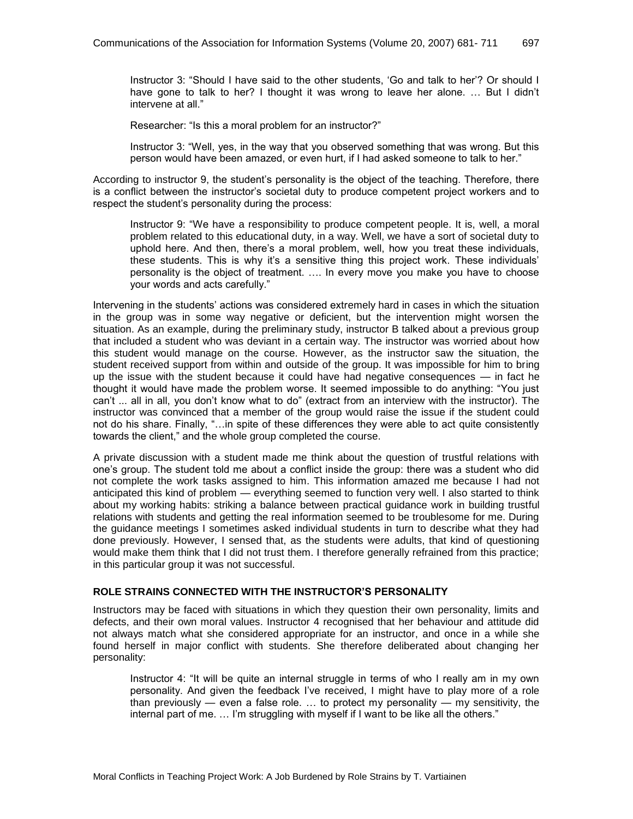Instructor 3: "Should I have said to the other students, 'Go and talk to her'? Or should I have gone to talk to her? I thought it was wrong to leave her alone. … But I didn't intervene at all."

Researcher: "Is this a moral problem for an instructor?"

Instructor 3: "Well, yes, in the way that you observed something that was wrong. But this person would have been amazed, or even hurt, if I had asked someone to talk to her."

According to instructor 9, the student's personality is the object of the teaching. Therefore, there is a conflict between the instructor's societal duty to produce competent project workers and to respect the student's personality during the process:

Instructor 9: "We have a responsibility to produce competent people. It is, well, a moral problem related to this educational duty, in a way. Well, we have a sort of societal duty to uphold here. And then, there's a moral problem, well, how you treat these individuals, these students. This is why it's a sensitive thing this project work. These individuals' personality is the object of treatment. …. In every move you make you have to choose your words and acts carefully."

Intervening in the students' actions was considered extremely hard in cases in which the situation in the group was in some way negative or deficient, but the intervention might worsen the situation. As an example, during the preliminary study, instructor B talked about a previous group that included a student who was deviant in a certain way. The instructor was worried about how this student would manage on the course. However, as the instructor saw the situation, the student received support from within and outside of the group. It was impossible for him to bring up the issue with the student because it could have had negative consequences — in fact he thought it would have made the problem worse. It seemed impossible to do anything: "You just can't ... all in all, you don't know what to do" (extract from an interview with the instructor). The instructor was convinced that a member of the group would raise the issue if the student could not do his share. Finally, "…in spite of these differences they were able to act quite consistently towards the client," and the whole group completed the course.

A private discussion with a student made me think about the question of trustful relations with one's group. The student told me about a conflict inside the group: there was a student who did not complete the work tasks assigned to him. This information amazed me because I had not anticipated this kind of problem — everything seemed to function very well. I also started to think about my working habits: striking a balance between practical guidance work in building trustful relations with students and getting the real information seemed to be troublesome for me. During the guidance meetings I sometimes asked individual students in turn to describe what they had done previously. However, I sensed that, as the students were adults, that kind of questioning would make them think that I did not trust them. I therefore generally refrained from this practice; in this particular group it was not successful.

#### **ROLE STRAINS CONNECTED WITH THE INSTRUCTOR'S PERSONALITY**

Instructors may be faced with situations in which they question their own personality, limits and defects, and their own moral values. Instructor 4 recognised that her behaviour and attitude did not always match what she considered appropriate for an instructor, and once in a while she found herself in major conflict with students. She therefore deliberated about changing her personality:

Instructor 4: "It will be quite an internal struggle in terms of who I really am in my own personality. And given the feedback I've received, I might have to play more of a role than previously — even a false role.  $\dots$  to protect my personality — my sensitivity, the internal part of me. … I'm struggling with myself if I want to be like all the others."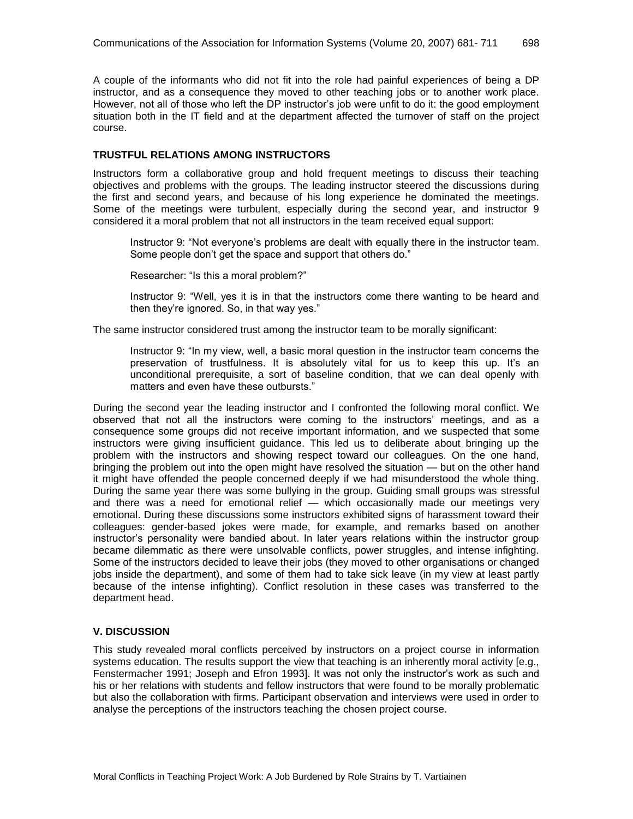A couple of the informants who did not fit into the role had painful experiences of being a DP instructor, and as a consequence they moved to other teaching jobs or to another work place. However, not all of those who left the DP instructor's job were unfit to do it: the good employment situation both in the IT field and at the department affected the turnover of staff on the project course.

#### **TRUSTFUL RELATIONS AMONG INSTRUCTORS**

Instructors form a collaborative group and hold frequent meetings to discuss their teaching objectives and problems with the groups. The leading instructor steered the discussions during the first and second years, and because of his long experience he dominated the meetings. Some of the meetings were turbulent, especially during the second year, and instructor 9 considered it a moral problem that not all instructors in the team received equal support:

Instructor 9: "Not everyone's problems are dealt with equally there in the instructor team. Some people don't get the space and support that others do."

Researcher: "Is this a moral problem?"

Instructor 9: "Well, yes it is in that the instructors come there wanting to be heard and then they're ignored. So, in that way yes."

The same instructor considered trust among the instructor team to be morally significant:

Instructor 9: "In my view, well, a basic moral question in the instructor team concerns the preservation of trustfulness. It is absolutely vital for us to keep this up. It's an unconditional prerequisite, a sort of baseline condition, that we can deal openly with matters and even have these outbursts."

During the second year the leading instructor and I confronted the following moral conflict. We observed that not all the instructors were coming to the instructors' meetings, and as a consequence some groups did not receive important information, and we suspected that some instructors were giving insufficient guidance. This led us to deliberate about bringing up the problem with the instructors and showing respect toward our colleagues. On the one hand, bringing the problem out into the open might have resolved the situation — but on the other hand it might have offended the people concerned deeply if we had misunderstood the whole thing. During the same year there was some bullying in the group. Guiding small groups was stressful and there was a need for emotional relief — which occasionally made our meetings very emotional. During these discussions some instructors exhibited signs of harassment toward their colleagues: gender-based jokes were made, for example, and remarks based on another instructor's personality were bandied about. In later years relations within the instructor group became dilemmatic as there were unsolvable conflicts, power struggles, and intense infighting. Some of the instructors decided to leave their jobs (they moved to other organisations or changed jobs inside the department), and some of them had to take sick leave (in my view at least partly because of the intense infighting). Conflict resolution in these cases was transferred to the department head.

#### **V. DISCUSSION**

This study revealed moral conflicts perceived by instructors on a project course in information systems education. The results support the view that teaching is an inherently moral activity [e.g., Fenstermacher 1991; Joseph and Efron 1993]. It was not only the instructor's work as such and his or her relations with students and fellow instructors that were found to be morally problematic but also the collaboration with firms. Participant observation and interviews were used in order to analyse the perceptions of the instructors teaching the chosen project course.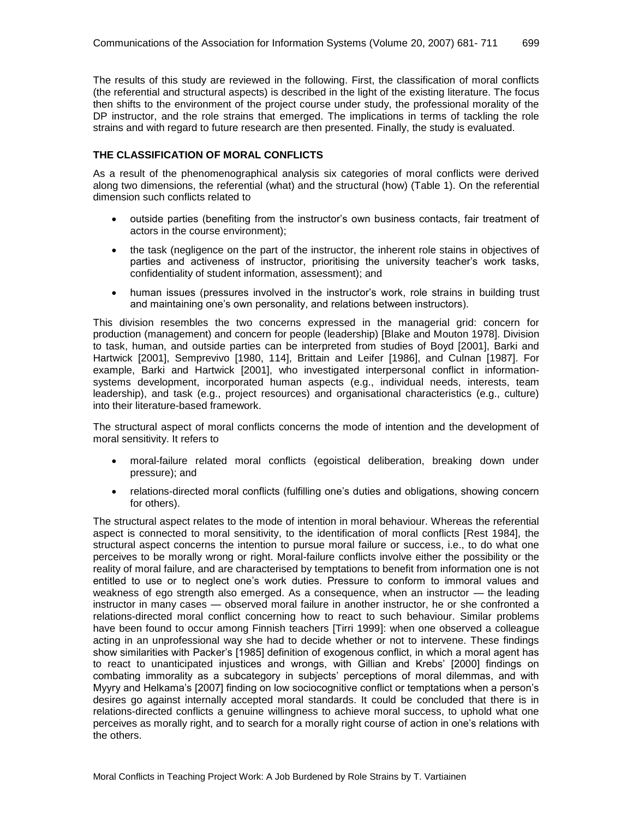The results of this study are reviewed in the following. First, the classification of moral conflicts (the referential and structural aspects) is described in the light of the existing literature. The focus then shifts to the environment of the project course under study, the professional morality of the DP instructor, and the role strains that emerged. The implications in terms of tackling the role strains and with regard to future research are then presented. Finally, the study is evaluated.

#### **THE CLASSIFICATION OF MORAL CONFLICTS**

As a result of the phenomenographical analysis six categories of moral conflicts were derived along two dimensions, the referential (what) and the structural (how) (Table 1). On the referential dimension such conflicts related to

- outside parties (benefiting from the instructor's own business contacts, fair treatment of actors in the course environment);
- the task (negligence on the part of the instructor, the inherent role stains in objectives of parties and activeness of instructor, prioritising the university teacher's work tasks, confidentiality of student information, assessment); and
- human issues (pressures involved in the instructor's work, role strains in building trust and maintaining one's own personality, and relations between instructors).

This division resembles the two concerns expressed in the managerial grid: concern for production (management) and concern for people (leadership) [Blake and Mouton 1978]. Division to task, human, and outside parties can be interpreted from studies of Boyd [2001], Barki and Hartwick [2001], Semprevivo [1980, 114], Brittain and Leifer [1986], and Culnan [1987]. For example, Barki and Hartwick [2001], who investigated interpersonal conflict in informationsystems development, incorporated human aspects (e.g., individual needs, interests, team leadership), and task (e.g., project resources) and organisational characteristics (e.g., culture) into their literature-based framework.

The structural aspect of moral conflicts concerns the mode of intention and the development of moral sensitivity. It refers to

- moral-failure related moral conflicts (egoistical deliberation, breaking down under pressure); and
- relations-directed moral conflicts (fulfilling one's duties and obligations, showing concern for others).

The structural aspect relates to the mode of intention in moral behaviour. Whereas the referential aspect is connected to moral sensitivity, to the identification of moral conflicts [Rest 1984], the structural aspect concerns the intention to pursue moral failure or success, i.e., to do what one perceives to be morally wrong or right. Moral-failure conflicts involve either the possibility or the reality of moral failure, and are characterised by temptations to benefit from information one is not entitled to use or to neglect one's work duties. Pressure to conform to immoral values and weakness of ego strength also emerged. As a consequence, when an instructor — the leading instructor in many cases — observed moral failure in another instructor, he or she confronted a relations-directed moral conflict concerning how to react to such behaviour. Similar problems have been found to occur among Finnish teachers [Tirri 1999]: when one observed a colleague acting in an unprofessional way she had to decide whether or not to intervene. These findings show similarities with Packer's [1985] definition of exogenous conflict, in which a moral agent has to react to unanticipated injustices and wrongs, with Gillian and Krebs' [2000] findings on combating immorality as a subcategory in subjects' perceptions of moral dilemmas, and with Myyry and Helkama's [2007] finding on low sociocognitive conflict or temptations when a person's desires go against internally accepted moral standards. It could be concluded that there is in relations-directed conflicts a genuine willingness to achieve moral success, to uphold what one perceives as morally right, and to search for a morally right course of action in one's relations with the others.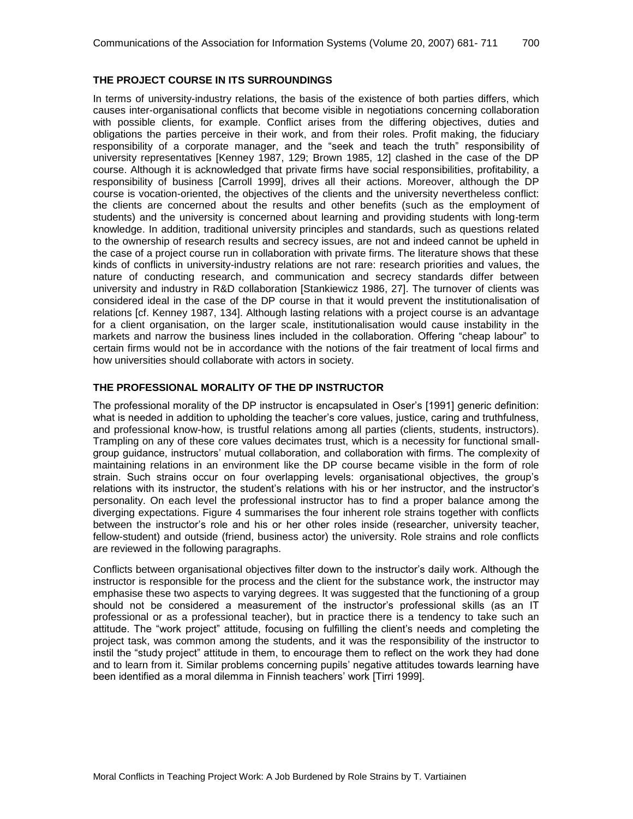#### **THE PROJECT COURSE IN ITS SURROUNDINGS**

In terms of university-industry relations, the basis of the existence of both parties differs, which causes inter-organisational conflicts that become visible in negotiations concerning collaboration with possible clients, for example. Conflict arises from the differing objectives, duties and obligations the parties perceive in their work, and from their roles. Profit making, the fiduciary responsibility of a corporate manager, and the "seek and teach the truth" responsibility of university representatives [Kenney 1987, 129; Brown 1985, 12] clashed in the case of the DP course. Although it is acknowledged that private firms have social responsibilities, profitability, a responsibility of business [Carroll 1999], drives all their actions. Moreover, although the DP course is vocation-oriented, the objectives of the clients and the university nevertheless conflict: the clients are concerned about the results and other benefits (such as the employment of students) and the university is concerned about learning and providing students with long-term knowledge. In addition, traditional university principles and standards, such as questions related to the ownership of research results and secrecy issues, are not and indeed cannot be upheld in the case of a project course run in collaboration with private firms. The literature shows that these kinds of conflicts in university-industry relations are not rare: research priorities and values, the nature of conducting research, and communication and secrecy standards differ between university and industry in R&D collaboration [Stankiewicz 1986, 27]. The turnover of clients was considered ideal in the case of the DP course in that it would prevent the institutionalisation of relations [cf. Kenney 1987, 134]. Although lasting relations with a project course is an advantage for a client organisation, on the larger scale, institutionalisation would cause instability in the markets and narrow the business lines included in the collaboration. Offering "cheap labour" to certain firms would not be in accordance with the notions of the fair treatment of local firms and how universities should collaborate with actors in society.

#### **THE PROFESSIONAL MORALITY OF THE DP INSTRUCTOR**

The professional morality of the DP instructor is encapsulated in Oser's [1991] generic definition: what is needed in addition to upholding the teacher's core values, justice, caring and truthfulness, and professional know-how, is trustful relations among all parties (clients, students, instructors). Trampling on any of these core values decimates trust, which is a necessity for functional smallgroup guidance, instructors' mutual collaboration, and collaboration with firms. The complexity of maintaining relations in an environment like the DP course became visible in the form of role strain. Such strains occur on four overlapping levels: organisational objectives, the group's relations with its instructor, the student's relations with his or her instructor, and the instructor's personality. On each level the professional instructor has to find a proper balance among the diverging expectations. Figure 4 summarises the four inherent role strains together with conflicts between the instructor's role and his or her other roles inside (researcher, university teacher, fellow-student) and outside (friend, business actor) the university. Role strains and role conflicts are reviewed in the following paragraphs.

Conflicts between organisational objectives filter down to the instructor's daily work. Although the instructor is responsible for the process and the client for the substance work, the instructor may emphasise these two aspects to varying degrees. It was suggested that the functioning of a group should not be considered a measurement of the instructor's professional skills (as an IT professional or as a professional teacher), but in practice there is a tendency to take such an attitude. The "work project" attitude, focusing on fulfilling the client's needs and completing the project task, was common among the students, and it was the responsibility of the instructor to instil the "study project" attitude in them, to encourage them to reflect on the work they had done and to learn from it. Similar problems concerning pupils' negative attitudes towards learning have been identified as a moral dilemma in Finnish teachers' work [Tirri 1999].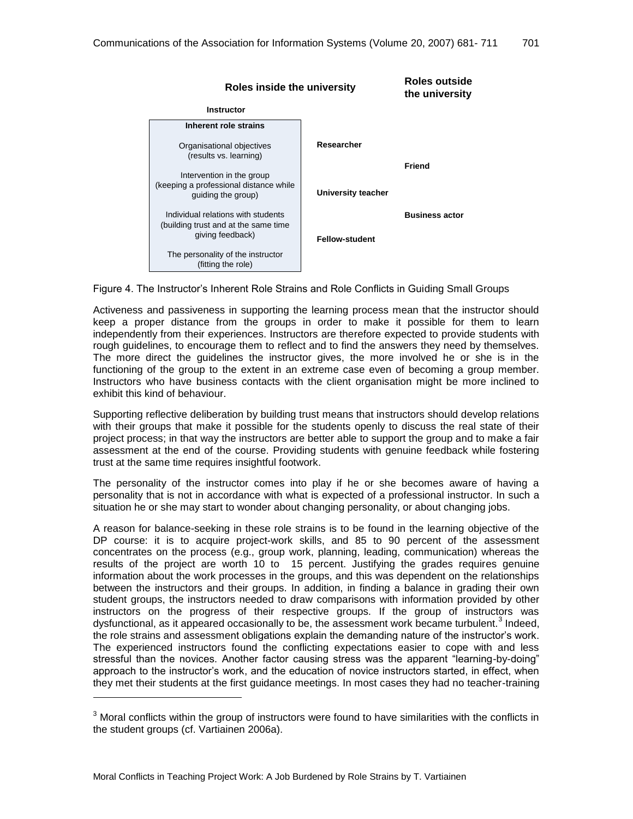

Figure 4. The Instructor's Inherent Role Strains and Role Conflicts in Guiding Small Groups

Activeness and passiveness in supporting the learning process mean that the instructor should keep a proper distance from the groups in order to make it possible for them to learn independently from their experiences. Instructors are therefore expected to provide students with rough guidelines, to encourage them to reflect and to find the answers they need by themselves. The more direct the guidelines the instructor gives, the more involved he or she is in the functioning of the group to the extent in an extreme case even of becoming a group member. Instructors who have business contacts with the client organisation might be more inclined to exhibit this kind of behaviour.

Supporting reflective deliberation by building trust means that instructors should develop relations with their groups that make it possible for the students openly to discuss the real state of their project process; in that way the instructors are better able to support the group and to make a fair assessment at the end of the course. Providing students with genuine feedback while fostering trust at the same time requires insightful footwork.

The personality of the instructor comes into play if he or she becomes aware of having a personality that is not in accordance with what is expected of a professional instructor. In such a situation he or she may start to wonder about changing personality, or about changing jobs.

A reason for balance-seeking in these role strains is to be found in the learning objective of the DP course: it is to acquire project-work skills, and 85 to 90 percent of the assessment concentrates on the process (e.g., group work, planning, leading, communication) whereas the results of the project are worth 10 to 15 percent. Justifying the grades requires genuine information about the work processes in the groups, and this was dependent on the relationships between the instructors and their groups. In addition, in finding a balance in grading their own student groups, the instructors needed to draw comparisons with information provided by other instructors on the progress of their respective groups. If the group of instructors was dysfunctional, as it appeared occasionally to be, the assessment work became turbulent.<sup>3</sup> Indeed, the role strains and assessment obligations explain the demanding nature of the instructor's work. The experienced instructors found the conflicting expectations easier to cope with and less stressful than the novices. Another factor causing stress was the apparent "learning-by-doing" approach to the instructor's work, and the education of novice instructors started, in effect, when they met their students at the first guidance meetings. In most cases they had no teacher-training

l

 $3$  Moral conflicts within the group of instructors were found to have similarities with the conflicts in the student groups (cf. Vartiainen 2006a).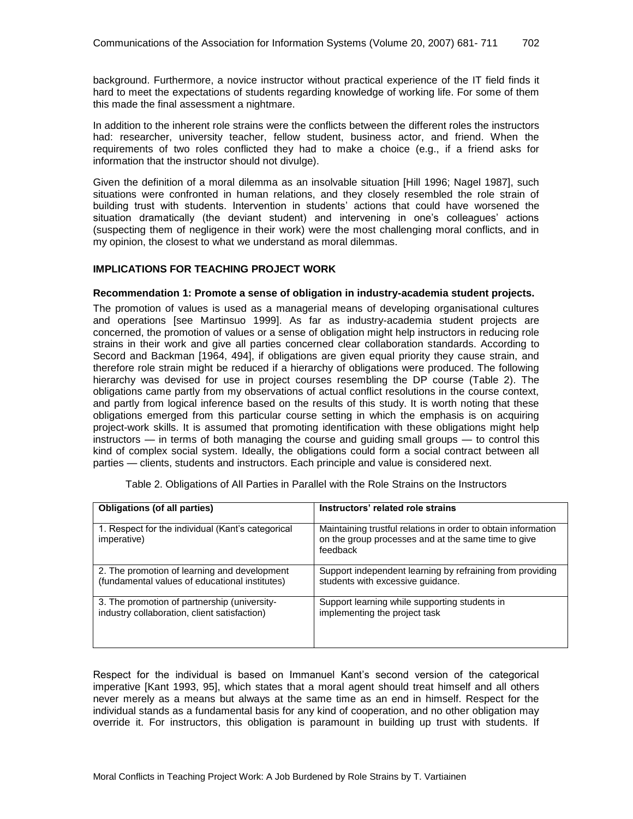background. Furthermore, a novice instructor without practical experience of the IT field finds it hard to meet the expectations of students regarding knowledge of working life. For some of them this made the final assessment a nightmare.

In addition to the inherent role strains were the conflicts between the different roles the instructors had: researcher, university teacher, fellow student, business actor, and friend. When the requirements of two roles conflicted they had to make a choice (e.g., if a friend asks for information that the instructor should not divulge).

Given the definition of a moral dilemma as an insolvable situation [Hill 1996; Nagel 1987], such situations were confronted in human relations, and they closely resembled the role strain of building trust with students. Intervention in students' actions that could have worsened the situation dramatically (the deviant student) and intervening in one's colleagues' actions (suspecting them of negligence in their work) were the most challenging moral conflicts, and in my opinion, the closest to what we understand as moral dilemmas.

#### **IMPLICATIONS FOR TEACHING PROJECT WORK**

#### **Recommendation 1: Promote a sense of obligation in industry-academia student projects.**

The promotion of values is used as a managerial means of developing organisational cultures and operations [see Martinsuo 1999]. As far as industry-academia student projects are concerned, the promotion of values or a sense of obligation might help instructors in reducing role strains in their work and give all parties concerned clear collaboration standards. According to Secord and Backman [1964, 494], if obligations are given equal priority they cause strain, and therefore role strain might be reduced if a hierarchy of obligations were produced. The following hierarchy was devised for use in project courses resembling the DP course (Table 2). The obligations came partly from my observations of actual conflict resolutions in the course context, and partly from logical inference based on the results of this study. It is worth noting that these obligations emerged from this particular course setting in which the emphasis is on acquiring project-work skills. It is assumed that promoting identification with these obligations might help instructors — in terms of both managing the course and guiding small groups — to control this kind of complex social system. Ideally, the obligations could form a social contract between all parties — clients, students and instructors. Each principle and value is considered next.

| <b>Obligations (of all parties)</b>                              | Instructors' related role strains                                                                                                |
|------------------------------------------------------------------|----------------------------------------------------------------------------------------------------------------------------------|
| 1. Respect for the individual (Kant's categorical<br>imperative) | Maintaining trustful relations in order to obtain information<br>on the group processes and at the same time to give<br>feedback |
| 2. The promotion of learning and development                     | Support independent learning by refraining from providing                                                                        |
| (fundamental values of educational institutes)                   | students with excessive guidance.                                                                                                |
| 3. The promotion of partnership (university-                     | Support learning while supporting students in                                                                                    |
| industry collaboration, client satisfaction)                     | implementing the project task                                                                                                    |

Table 2. Obligations of All Parties in Parallel with the Role Strains on the Instructors

Respect for the individual is based on Immanuel Kant's second version of the categorical imperative [Kant 1993, 95], which states that a moral agent should treat himself and all others never merely as a means but always at the same time as an end in himself. Respect for the individual stands as a fundamental basis for any kind of cooperation, and no other obligation may override it. For instructors, this obligation is paramount in building up trust with students. If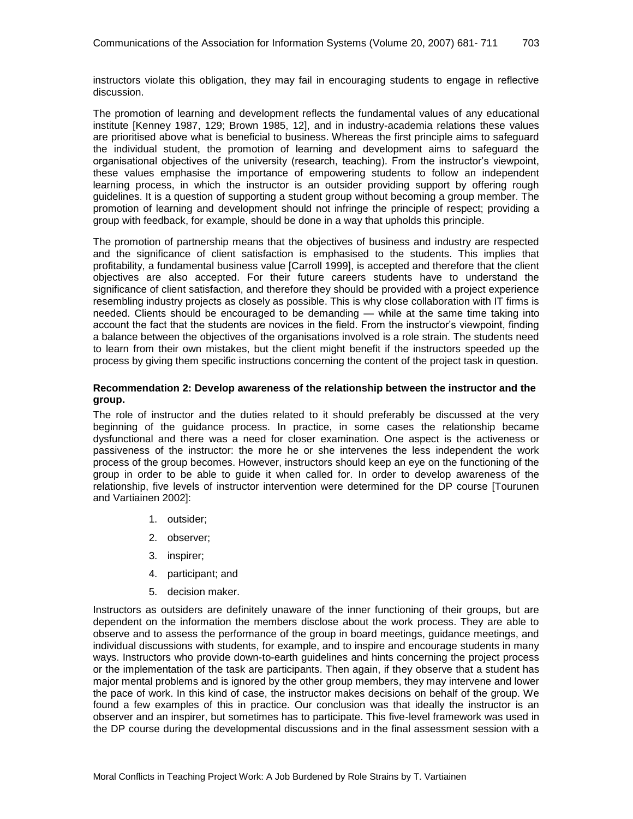instructors violate this obligation, they may fail in encouraging students to engage in reflective discussion.

The promotion of learning and development reflects the fundamental values of any educational institute [Kenney 1987, 129; Brown 1985, 12], and in industry-academia relations these values are prioritised above what is beneficial to business. Whereas the first principle aims to safeguard the individual student, the promotion of learning and development aims to safeguard the organisational objectives of the university (research, teaching). From the instructor's viewpoint, these values emphasise the importance of empowering students to follow an independent learning process, in which the instructor is an outsider providing support by offering rough guidelines. It is a question of supporting a student group without becoming a group member. The promotion of learning and development should not infringe the principle of respect; providing a group with feedback, for example, should be done in a way that upholds this principle.

The promotion of partnership means that the objectives of business and industry are respected and the significance of client satisfaction is emphasised to the students. This implies that profitability, a fundamental business value [Carroll 1999], is accepted and therefore that the client objectives are also accepted. For their future careers students have to understand the significance of client satisfaction, and therefore they should be provided with a project experience resembling industry projects as closely as possible. This is why close collaboration with IT firms is needed. Clients should be encouraged to be demanding — while at the same time taking into account the fact that the students are novices in the field. From the instructor's viewpoint, finding a balance between the objectives of the organisations involved is a role strain. The students need to learn from their own mistakes, but the client might benefit if the instructors speeded up the process by giving them specific instructions concerning the content of the project task in question.

#### **Recommendation 2: Develop awareness of the relationship between the instructor and the group.**

The role of instructor and the duties related to it should preferably be discussed at the very beginning of the guidance process. In practice, in some cases the relationship became dysfunctional and there was a need for closer examination. One aspect is the activeness or passiveness of the instructor: the more he or she intervenes the less independent the work process of the group becomes. However, instructors should keep an eye on the functioning of the group in order to be able to guide it when called for. In order to develop awareness of the relationship, five levels of instructor intervention were determined for the DP course [Tourunen and Vartiainen 2002]:

- 1. outsider;
- 2. observer;
- 3. inspirer;
- 4. participant; and
- 5. decision maker.

Instructors as outsiders are definitely unaware of the inner functioning of their groups, but are dependent on the information the members disclose about the work process. They are able to observe and to assess the performance of the group in board meetings, guidance meetings, and individual discussions with students, for example, and to inspire and encourage students in many ways. Instructors who provide down-to-earth guidelines and hints concerning the project process or the implementation of the task are participants. Then again, if they observe that a student has major mental problems and is ignored by the other group members, they may intervene and lower the pace of work. In this kind of case, the instructor makes decisions on behalf of the group. We found a few examples of this in practice. Our conclusion was that ideally the instructor is an observer and an inspirer, but sometimes has to participate. This five-level framework was used in the DP course during the developmental discussions and in the final assessment session with a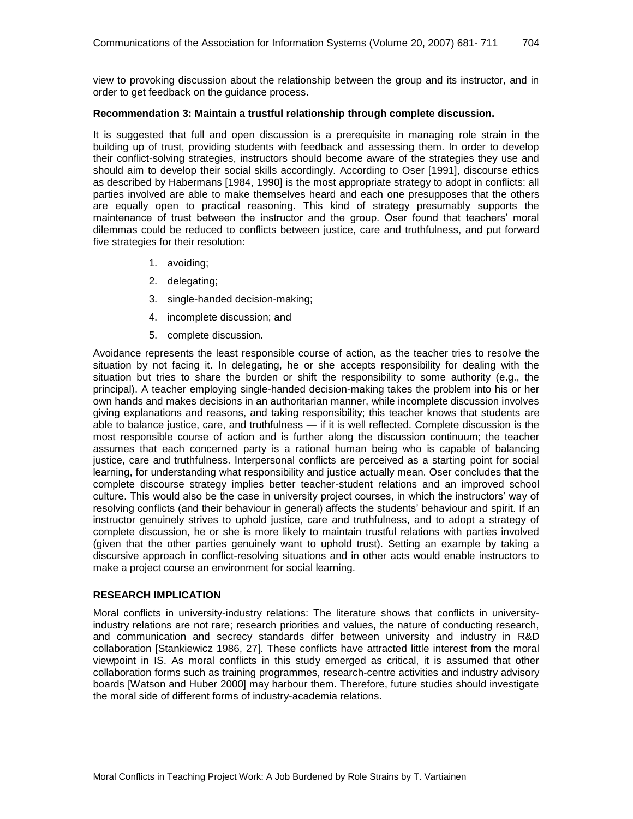view to provoking discussion about the relationship between the group and its instructor, and in order to get feedback on the guidance process.

#### **Recommendation 3: Maintain a trustful relationship through complete discussion.**

It is suggested that full and open discussion is a prerequisite in managing role strain in the building up of trust, providing students with feedback and assessing them. In order to develop their conflict-solving strategies, instructors should become aware of the strategies they use and should aim to develop their social skills accordingly. According to Oser [1991], discourse ethics as described by Habermans [1984, 1990] is the most appropriate strategy to adopt in conflicts: all parties involved are able to make themselves heard and each one presupposes that the others are equally open to practical reasoning. This kind of strategy presumably supports the maintenance of trust between the instructor and the group. Oser found that teachers' moral dilemmas could be reduced to conflicts between justice, care and truthfulness, and put forward five strategies for their resolution:

- 1. avoiding;
- 2. delegating;
- 3. single-handed decision-making;
- 4. incomplete discussion; and
- 5. complete discussion.

Avoidance represents the least responsible course of action, as the teacher tries to resolve the situation by not facing it. In delegating, he or she accepts responsibility for dealing with the situation but tries to share the burden or shift the responsibility to some authority (e.g., the principal). A teacher employing single-handed decision-making takes the problem into his or her own hands and makes decisions in an authoritarian manner, while incomplete discussion involves giving explanations and reasons, and taking responsibility; this teacher knows that students are able to balance justice, care, and truthfulness — if it is well reflected. Complete discussion is the most responsible course of action and is further along the discussion continuum; the teacher assumes that each concerned party is a rational human being who is capable of balancing justice, care and truthfulness. Interpersonal conflicts are perceived as a starting point for social learning, for understanding what responsibility and justice actually mean. Oser concludes that the complete discourse strategy implies better teacher-student relations and an improved school culture. This would also be the case in university project courses, in which the instructors' way of resolving conflicts (and their behaviour in general) affects the students' behaviour and spirit. If an instructor genuinely strives to uphold justice, care and truthfulness, and to adopt a strategy of complete discussion, he or she is more likely to maintain trustful relations with parties involved (given that the other parties genuinely want to uphold trust). Setting an example by taking a discursive approach in conflict-resolving situations and in other acts would enable instructors to make a project course an environment for social learning.

#### **RESEARCH IMPLICATION**

Moral conflicts in university-industry relations: The literature shows that conflicts in universityindustry relations are not rare; research priorities and values, the nature of conducting research, and communication and secrecy standards differ between university and industry in R&D collaboration [Stankiewicz 1986, 27]. These conflicts have attracted little interest from the moral viewpoint in IS. As moral conflicts in this study emerged as critical, it is assumed that other collaboration forms such as training programmes, research-centre activities and industry advisory boards [Watson and Huber 2000] may harbour them. Therefore, future studies should investigate the moral side of different forms of industry-academia relations.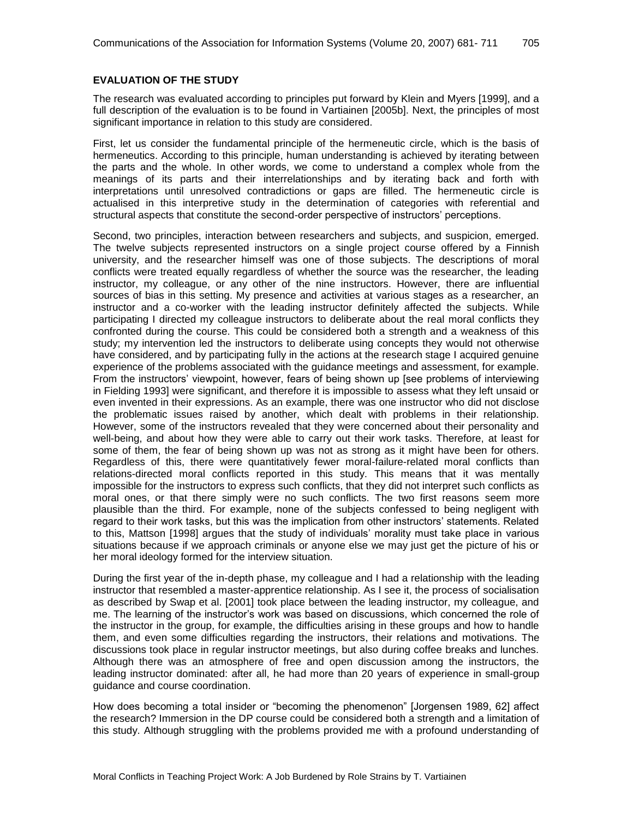#### **EVALUATION OF THE STUDY**

The research was evaluated according to principles put forward by Klein and Myers [1999], and a full description of the evaluation is to be found in Vartiainen [2005b]. Next, the principles of most significant importance in relation to this study are considered.

First, let us consider the fundamental principle of the hermeneutic circle, which is the basis of hermeneutics. According to this principle, human understanding is achieved by iterating between the parts and the whole. In other words, we come to understand a complex whole from the meanings of its parts and their interrelationships and by iterating back and forth with interpretations until unresolved contradictions or gaps are filled. The hermeneutic circle is actualised in this interpretive study in the determination of categories with referential and structural aspects that constitute the second-order perspective of instructors' perceptions.

Second, two principles, interaction between researchers and subjects, and suspicion, emerged. The twelve subjects represented instructors on a single project course offered by a Finnish university, and the researcher himself was one of those subjects. The descriptions of moral conflicts were treated equally regardless of whether the source was the researcher, the leading instructor, my colleague, or any other of the nine instructors. However, there are influential sources of bias in this setting. My presence and activities at various stages as a researcher, an instructor and a co-worker with the leading instructor definitely affected the subjects. While participating I directed my colleague instructors to deliberate about the real moral conflicts they confronted during the course. This could be considered both a strength and a weakness of this study; my intervention led the instructors to deliberate using concepts they would not otherwise have considered, and by participating fully in the actions at the research stage I acquired genuine experience of the problems associated with the guidance meetings and assessment, for example. From the instructors' viewpoint, however, fears of being shown up [see problems of interviewing in Fielding 1993] were significant, and therefore it is impossible to assess what they left unsaid or even invented in their expressions. As an example, there was one instructor who did not disclose the problematic issues raised by another, which dealt with problems in their relationship. However, some of the instructors revealed that they were concerned about their personality and well-being, and about how they were able to carry out their work tasks. Therefore, at least for some of them, the fear of being shown up was not as strong as it might have been for others. Regardless of this, there were quantitatively fewer moral-failure-related moral conflicts than relations-directed moral conflicts reported in this study. This means that it was mentally impossible for the instructors to express such conflicts, that they did not interpret such conflicts as moral ones, or that there simply were no such conflicts. The two first reasons seem more plausible than the third. For example, none of the subjects confessed to being negligent with regard to their work tasks, but this was the implication from other instructors' statements. Related to this, Mattson [1998] argues that the study of individuals' morality must take place in various situations because if we approach criminals or anyone else we may just get the picture of his or her moral ideology formed for the interview situation.

During the first year of the in-depth phase, my colleague and I had a relationship with the leading instructor that resembled a master-apprentice relationship. As I see it, the process of socialisation as described by Swap et al. [2001] took place between the leading instructor, my colleague, and me. The learning of the instructor's work was based on discussions, which concerned the role of the instructor in the group, for example, the difficulties arising in these groups and how to handle them, and even some difficulties regarding the instructors, their relations and motivations. The discussions took place in regular instructor meetings, but also during coffee breaks and lunches. Although there was an atmosphere of free and open discussion among the instructors, the leading instructor dominated: after all, he had more than 20 years of experience in small-group guidance and course coordination.

How does becoming a total insider or "becoming the phenomenon" [Jorgensen 1989, 62] affect the research? Immersion in the DP course could be considered both a strength and a limitation of this study. Although struggling with the problems provided me with a profound understanding of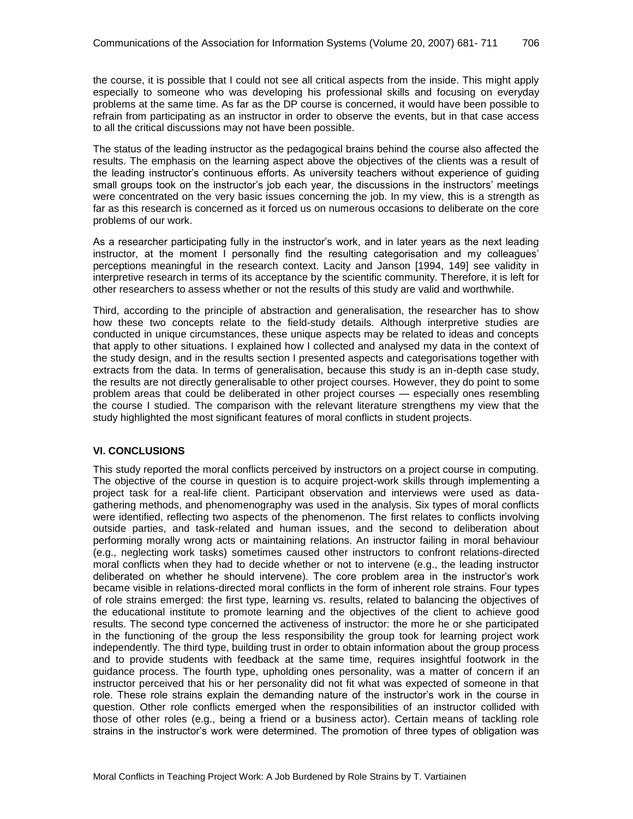the course, it is possible that I could not see all critical aspects from the inside. This might apply especially to someone who was developing his professional skills and focusing on everyday problems at the same time. As far as the DP course is concerned, it would have been possible to refrain from participating as an instructor in order to observe the events, but in that case access to all the critical discussions may not have been possible.

The status of the leading instructor as the pedagogical brains behind the course also affected the results. The emphasis on the learning aspect above the objectives of the clients was a result of the leading instructor's continuous efforts. As university teachers without experience of guiding small groups took on the instructor's job each year, the discussions in the instructors' meetings were concentrated on the very basic issues concerning the job. In my view, this is a strength as far as this research is concerned as it forced us on numerous occasions to deliberate on the core problems of our work.

As a researcher participating fully in the instructor's work, and in later years as the next leading instructor, at the moment I personally find the resulting categorisation and my colleagues' perceptions meaningful in the research context. Lacity and Janson [1994, 149] see validity in interpretive research in terms of its acceptance by the scientific community. Therefore, it is left for other researchers to assess whether or not the results of this study are valid and worthwhile.

Third, according to the principle of abstraction and generalisation, the researcher has to show how these two concepts relate to the field-study details. Although interpretive studies are conducted in unique circumstances, these unique aspects may be related to ideas and concepts that apply to other situations. I explained how I collected and analysed my data in the context of the study design, and in the results section I presented aspects and categorisations together with extracts from the data. In terms of generalisation, because this study is an in-depth case study, the results are not directly generalisable to other project courses. However, they do point to some problem areas that could be deliberated in other project courses — especially ones resembling the course I studied. The comparison with the relevant literature strengthens my view that the study highlighted the most significant features of moral conflicts in student projects.

#### **VI. CONCLUSIONS**

This study reported the moral conflicts perceived by instructors on a project course in computing. The objective of the course in question is to acquire project-work skills through implementing a project task for a real-life client. Participant observation and interviews were used as datagathering methods, and phenomenography was used in the analysis. Six types of moral conflicts were identified, reflecting two aspects of the phenomenon. The first relates to conflicts involving outside parties, and task-related and human issues, and the second to deliberation about performing morally wrong acts or maintaining relations. An instructor failing in moral behaviour (e.g., neglecting work tasks) sometimes caused other instructors to confront relations-directed moral conflicts when they had to decide whether or not to intervene (e.g., the leading instructor deliberated on whether he should intervene). The core problem area in the instructor's work became visible in relations-directed moral conflicts in the form of inherent role strains. Four types of role strains emerged: the first type, learning vs. results, related to balancing the objectives of the educational institute to promote learning and the objectives of the client to achieve good results. The second type concerned the activeness of instructor: the more he or she participated in the functioning of the group the less responsibility the group took for learning project work independently. The third type, building trust in order to obtain information about the group process and to provide students with feedback at the same time, requires insightful footwork in the guidance process. The fourth type, upholding ones personality, was a matter of concern if an instructor perceived that his or her personality did not fit what was expected of someone in that role. These role strains explain the demanding nature of the instructor's work in the course in question. Other role conflicts emerged when the responsibilities of an instructor collided with those of other roles (e.g., being a friend or a business actor). Certain means of tackling role strains in the instructor's work were determined. The promotion of three types of obligation was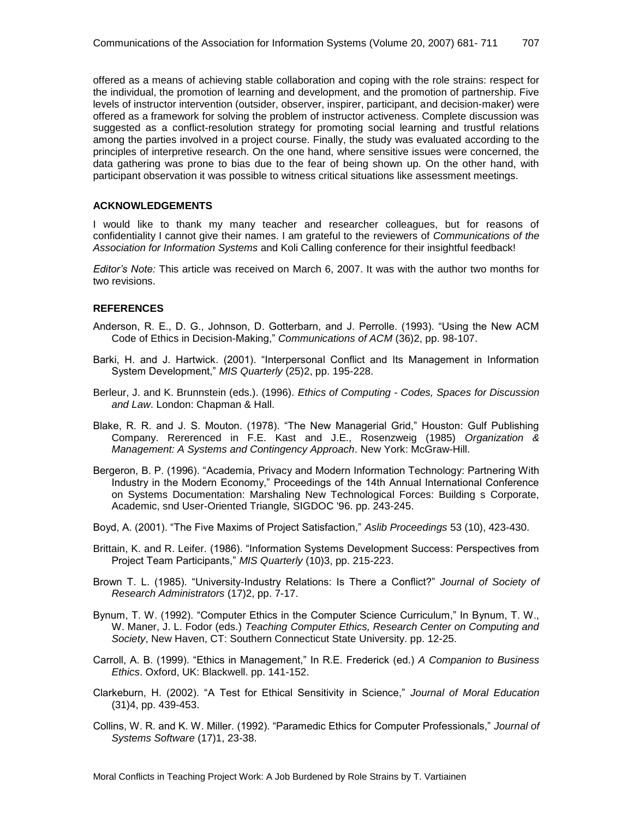offered as a means of achieving stable collaboration and coping with the role strains: respect for the individual, the promotion of learning and development, and the promotion of partnership. Five levels of instructor intervention (outsider, observer, inspirer, participant, and decision-maker) were offered as a framework for solving the problem of instructor activeness. Complete discussion was suggested as a conflict-resolution strategy for promoting social learning and trustful relations among the parties involved in a project course. Finally, the study was evaluated according to the principles of interpretive research. On the one hand, where sensitive issues were concerned, the data gathering was prone to bias due to the fear of being shown up. On the other hand, with participant observation it was possible to witness critical situations like assessment meetings.

#### **ACKNOWLEDGEMENTS**

I would like to thank my many teacher and researcher colleagues, but for reasons of confidentiality I cannot give their names. I am grateful to the reviewers of *Communications of the Association for Information Systems* and Koli Calling conference for their insightful feedback!

*Editor's Note:* This article was received on March 6, 2007. It was with the author two months for two revisions.

#### **REFERENCES**

- Anderson, R. E., D. G., Johnson, D. Gotterbarn, and J. Perrolle. (1993). "Using the New ACM Code of Ethics in Decision-Making," *Communications of ACM* (36)2, pp. 98-107.
- Barki, H. and J. Hartwick. (2001). "Interpersonal Conflict and Its Management in Information System Development," *MIS Quarterly* (25)2, pp. 195-228.
- Berleur, J. and K. Brunnstein (eds.). (1996). *Ethics of Computing - Codes, Spaces for Discussion and Law*. London: Chapman & Hall.
- Blake, R. R. and J. S. Mouton. (1978). "The New Managerial Grid," Houston: Gulf Publishing Company. Rererenced in F.E. Kast and J.E., Rosenzweig (1985) *Organization & Management: A Systems and Contingency Approach*. New York: McGraw-Hill.
- Bergeron, B. P. (1996). "Academia, Privacy and Modern Information Technology: Partnering With Industry in the Modern Economy," Proceedings of the 14th Annual International Conference on Systems Documentation: Marshaling New Technological Forces: Building s Corporate, Academic, snd User-Oriented Triangle*,* SIGDOC '96. pp. 243-245.
- Boyd, A. (2001). "The Five Maxims of Project Satisfaction," *Aslib Proceedings* 53 (10), 423-430.
- Brittain, K. and R. Leifer. (1986). "Information Systems Development Success: Perspectives from Project Team Participants," *MIS Quarterly* (10)3, pp. 215-223.
- Brown T. L. (1985). "University-Industry Relations: Is There a Conflict?" *Journal of Society of Research Administrators* (17)2, pp. 7-17.
- Bynum, T. W. (1992). "Computer Ethics in the Computer Science Curriculum," In Bynum, T. W., W. Maner, J. L. Fodor (eds.) *Teaching Computer Ethics, Research Center on Computing and Society*, New Haven, CT: Southern Connecticut State University. pp. 12-25.
- Carroll, A. B. (1999). "Ethics in Management," In R.E. Frederick (ed.) *A Companion to Business Ethics*. Oxford, UK: Blackwell. pp. 141-152.
- Clarkeburn, H. (2002). "A Test for Ethical Sensitivity in Science," *Journal of Moral Education* (31)4, pp. 439-453.
- Collins, W. R. and K. W. Miller. (1992). "Paramedic Ethics for Computer Professionals," *Journal of Systems Software* (17)1, 23-38.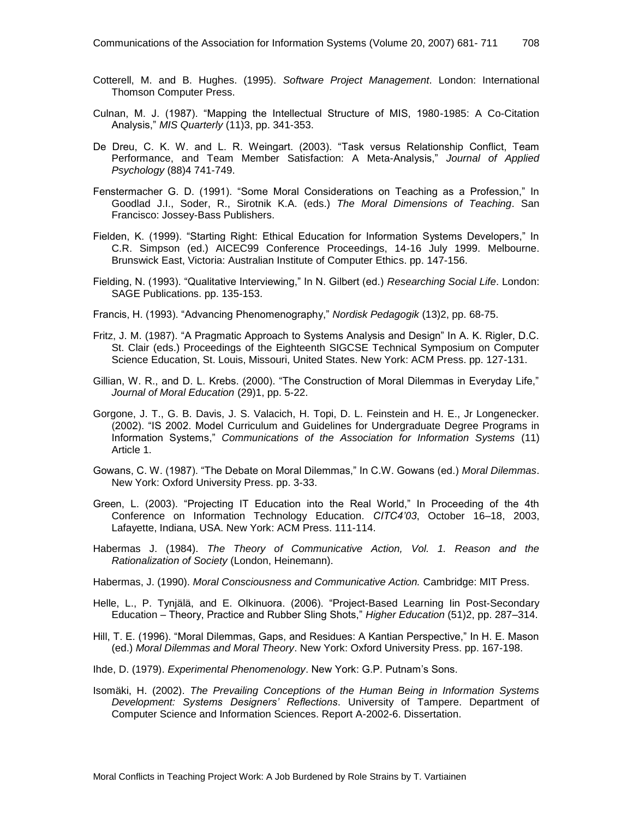- Cotterell, M. and B. Hughes. (1995). *Software Project Management*. London: International Thomson Computer Press.
- Culnan, M. J. (1987). "Mapping the Intellectual Structure of MIS, 1980-1985: A Co-Citation Analysis," *MIS Quarterly* (11)3, pp. 341-353.
- De Dreu, C. K. W. and L. R. Weingart. (2003). "Task versus Relationship Conflict, Team Performance, and Team Member Satisfaction: A Meta-Analysis," *Journal of Applied Psychology* (88)4 741-749.
- Fenstermacher G. D. (1991). "Some Moral Considerations on Teaching as a Profession," In Goodlad J.I., Soder, R., Sirotnik K.A. (eds.) *The Moral Dimensions of Teaching*. San Francisco: Jossey-Bass Publishers.
- Fielden, K. (1999). "Starting Right: Ethical Education for Information Systems Developers," In C.R. Simpson (ed.) AICEC99 Conference Proceedings, 14-16 July 1999. Melbourne. Brunswick East, Victoria: Australian Institute of Computer Ethics. pp. 147-156.
- Fielding, N. (1993). "Qualitative Interviewing," In N. Gilbert (ed.) *Researching Social Life*. London: SAGE Publications. pp. 135-153.
- Francis, H. (1993). "Advancing Phenomenography," *Nordisk Pedagogik* (13)2, pp. 68-75.
- Fritz, J. M. (1987). "A Pragmatic Approach to Systems Analysis and Design" In A. K. Rigler, D.C. St. Clair (eds.) Proceedings of the Eighteenth SIGCSE Technical Symposium on Computer Science Education, St. Louis, Missouri, United States. New York: ACM Press. pp. 127-131.
- Gillian, W. R., and D. L. Krebs. (2000). "The Construction of Moral Dilemmas in Everyday Life," *Journal of Moral Education* (29)1, pp. 5-22.
- Gorgone, J. T., G. B. Davis, J. S. Valacich, H. Topi, D. L. Feinstein and H. E., Jr Longenecker. (2002). "IS 2002. Model Curriculum and Guidelines for Undergraduate Degree Programs in Information Systems," *Communications of the Association for Information Systems* (11) Article 1.
- Gowans, C. W. (1987). "The Debate on Moral Dilemmas," In C.W. Gowans (ed.) *Moral Dilemmas*. New York: Oxford University Press. pp. 3-33.
- Green, L. (2003). "Projecting IT Education into the Real World," In Proceeding of the 4th Conference on Information Technology Education*. CITC4'03*, October 16–18, 2003, Lafayette, Indiana, USA. New York: ACM Press. 111-114.
- Habermas J. (1984). *The Theory of Communicative Action, Vol. 1. Reason and the Rationalization of Society* (London, Heinemann).
- Habermas, J. (1990). *Moral Consciousness and Communicative Action.* Cambridge: MIT Press.
- Helle, L., P. Tynjälä, and E. Olkinuora. (2006). "Project-Based Learning Iin Post-Secondary Education – Theory, Practice and Rubber Sling Shots," *Higher Education* (51)2, pp. 287–314.
- Hill, T. E. (1996). "Moral Dilemmas, Gaps, and Residues: A Kantian Perspective," In H. E. Mason (ed.) *Moral Dilemmas and Moral Theory*. New York: Oxford University Press. pp. 167-198.
- Ihde, D. (1979). *Experimental Phenomenology*. New York: G.P. Putnam's Sons.
- Isomäki, H. (2002). *The Prevailing Conceptions of the Human Being in Information Systems Development: Systems Designers' Reflections*. University of Tampere. Department of Computer Science and Information Sciences. Report A-2002-6. Dissertation.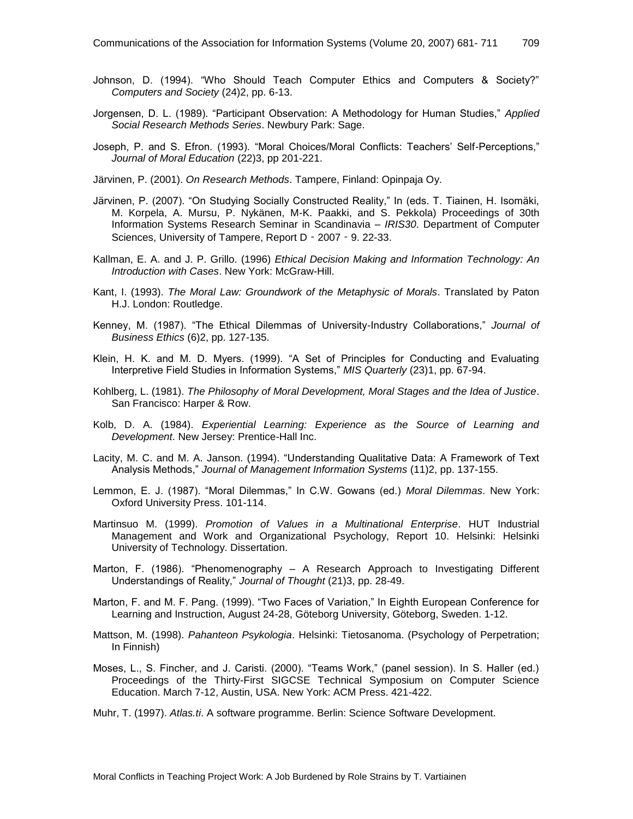- Johnson, D. (1994). "Who Should Teach Computer Ethics and Computers & Society?" *Computers and Society* (24)2, pp. 6-13.
- Jorgensen, D. L. (1989). "Participant Observation: A Methodology for Human Studies," *Applied Social Research Methods Series*. Newbury Park: Sage.
- Joseph, P. and S. Efron. (1993). "Moral Choices/Moral Conflicts: Teachers' Self-Perceptions," *Journal of Moral Education* (22)3, pp 201-221.
- Järvinen, P. (2001). *On Research Methods*. Tampere, Finland: Opinpaja Oy.
- Järvinen, P. (2007). "On Studying Socially Constructed Reality," In (eds. T. Tiainen, H. Isomäki, M. Korpela, A. Mursu, P. Nykänen, M-K. Paakki, and S. Pekkola) Proceedings of 30th Information Systems Research Seminar in Scandinavia *– IRIS30*. Department of Computer Sciences, University of Tampere, Report D - 2007 - 9. 22-33.
- Kallman, E. A. and J. P. Grillo. (1996) *Ethical Decision Making and Information Technology: An Introduction with Cases*. New York: McGraw-Hill.
- Kant, I. (1993). *The Moral Law: Groundwork of the Metaphysic of Morals*. Translated by Paton H.J. London: Routledge.
- Kenney, M. (1987). "The Ethical Dilemmas of University-Industry Collaborations," *Journal of Business Ethics* (6)2, pp. 127-135.
- Klein, H. K. and M. D. Myers. (1999). "A Set of Principles for Conducting and Evaluating Interpretive Field Studies in Information Systems," *MIS Quarterly* (23)1, pp. 67-94.
- Kohlberg, L. (1981). *The Philosophy of Moral Development, Moral Stages and the Idea of Justice*. San Francisco: Harper & Row.
- Kolb, D. A. (1984). *Experiential Learning: Experience as the Source of Learning and Development*. New Jersey: Prentice-Hall Inc.
- Lacity, M. C. and M. A. Janson. (1994). "Understanding Qualitative Data: A Framework of Text Analysis Methods," *Journal of Management Information Systems* (11)2, pp. 137-155.
- Lemmon, E. J. (1987). "Moral Dilemmas," In C.W. Gowans (ed.) *Moral Dilemmas*. New York: Oxford University Press. 101-114.
- Martinsuo M. (1999). *Promotion of Values in a Multinational Enterprise*. HUT Industrial Management and Work and Organizational Psychology, Report 10. Helsinki: Helsinki University of Technology. Dissertation.
- Marton, F. (1986). "Phenomenography A Research Approach to Investigating Different Understandings of Reality," *Journal of Thought* (21)3, pp. 28-49.
- Marton, F. and M. F. Pang. (1999). "Two Faces of Variation," In Eighth European Conference for Learning and Instruction, August 24-28, Göteborg University, Göteborg, Sweden. 1-12.
- Mattson, M. (1998). *Pahanteon Psykologia*. Helsinki: Tietosanoma. (Psychology of Perpetration; In Finnish)
- Moses, L., S. Fincher, and J. Caristi. (2000). "Teams Work," (panel session). In S. Haller (ed.) Proceedings of the Thirty-First SIGCSE Technical Symposium on Computer Science Education. March 7-12, Austin, USA. New York: ACM Press. 421-422.

Muhr, T. (1997). *Atlas.ti*. A software programme. Berlin: Science Software Development.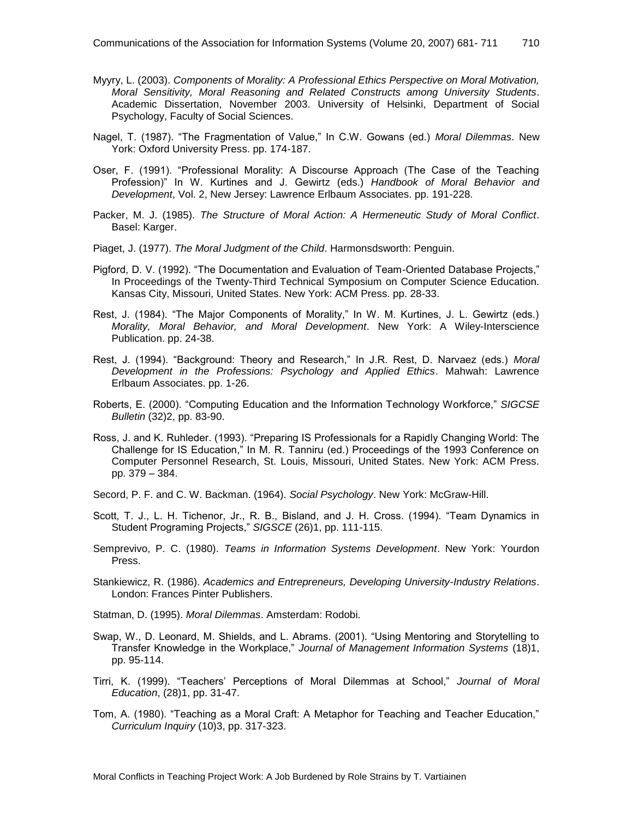- Myyry, L. (2003). *Components of Morality: A Professional Ethics Perspective on Moral Motivation, Moral Sensitivity, Moral Reasoning and Related Constructs among University Students*. Academic Dissertation, November 2003. University of Helsinki, Department of Social Psychology, Faculty of Social Sciences.
- Nagel, T. (1987). "The Fragmentation of Value," In C.W. Gowans (ed.) *Moral Dilemmas*. New York: Oxford University Press. pp. 174-187.
- Oser, F. (1991). "Professional Morality: A Discourse Approach (The Case of the Teaching Profession)" In W. Kurtines and J. Gewirtz (eds.) *Handbook of Moral Behavior and Development*, Vol. 2, New Jersey: Lawrence Erlbaum Associates. pp. 191-228.
- Packer, M. J. (1985). *The Structure of Moral Action: A Hermeneutic Study of Moral Conflict*. Basel: Karger.
- Piaget, J. (1977). *The Moral Judgment of the Child*. Harmonsdsworth: Penguin.
- Pigford, D. V. (1992). "The Documentation and Evaluation of Team-Oriented Database Projects," In Proceedings of the Twenty-Third Technical Symposium on Computer Science Education. Kansas City, Missouri, United States. New York: ACM Press. pp. 28-33.
- Rest, J. (1984). "The Major Components of Morality," In W. M. Kurtines, J. L. Gewirtz (eds.) *Morality, Moral Behavior, and Moral Development*. New York: A Wiley-Interscience Publication. pp. 24-38.
- Rest, J. (1994). "Background: Theory and Research," In J.R. Rest, D. Narvaez (eds.) *Moral Development in the Professions: Psychology and Applied Ethics*. Mahwah: Lawrence Erlbaum Associates. pp. 1-26.
- Roberts, E. (2000). "Computing Education and the Information Technology Workforce," *SIGCSE Bulletin* (32)2, pp. 83-90.
- Ross, J. and K. Ruhleder. (1993). "Preparing IS Professionals for a Rapidly Changing World: The Challenge for IS Education," In M. R. Tanniru (ed.) Proceedings of the 1993 Conference on Computer Personnel Research, St. Louis, Missouri, United States. New York: ACM Press. pp. 379 – 384.
- Secord, P. F. and C. W. Backman. (1964). *Social Psychology*. New York: McGraw-Hill.
- Scott, T. J., L. H. Tichenor, Jr., R. B., Bisland, and J. H. Cross. (1994). "Team Dynamics in Student Programing Projects," *SIGSCE* (26)1, pp. 111-115.
- Semprevivo, P. C. (1980). *Teams in Information Systems Development*. New York: Yourdon Press.
- Stankiewicz, R. (1986). *Academics and Entrepreneurs, Developing University-Industry Relations*. London: Frances Pinter Publishers.
- Statman, D. (1995). *Moral Dilemmas*. Amsterdam: Rodobi.
- Swap, W., D. Leonard, M. Shields, and L. Abrams. (2001). "Using Mentoring and Storytelling to Transfer Knowledge in the Workplace," *Journal of Management Information Systems* (18)1, pp. 95-114.
- Tirri, K. (1999). "Teachers' Perceptions of Moral Dilemmas at School," *Journal of Moral Education*, (28)1, pp. 31-47.
- Tom, A. (1980). "Teaching as a Moral Craft: A Metaphor for Teaching and Teacher Education," *Curriculum Inquiry* (10)3, pp. 317-323.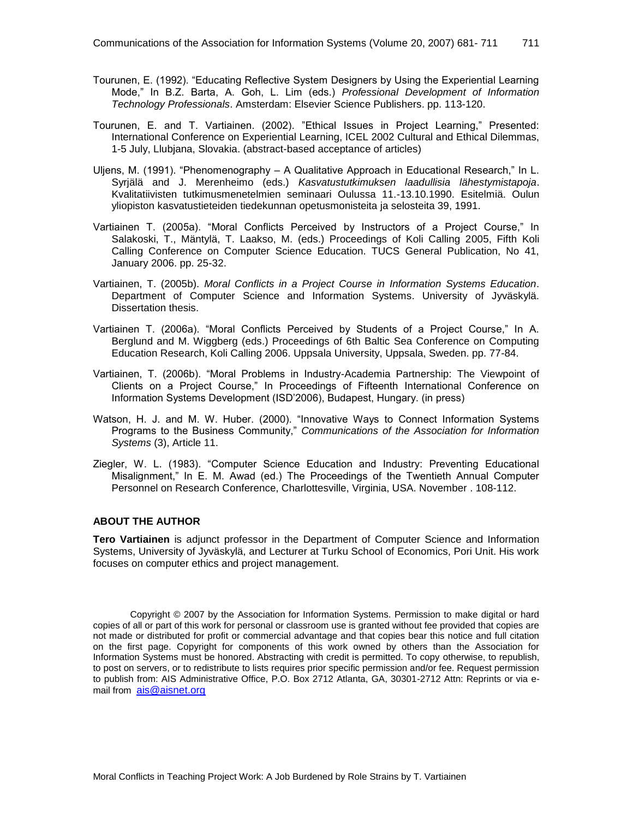- Tourunen, E. (1992). "Educating Reflective System Designers by Using the Experiential Learning Mode," In B.Z. Barta, A. Goh, L. Lim (eds.) *Professional Development of Information Technology Professionals*. Amsterdam: Elsevier Science Publishers. pp. 113-120.
- Tourunen, E. and T. Vartiainen. (2002). "Ethical Issues in Project Learning," Presented: International Conference on Experiential Learning, ICEL 2002 Cultural and Ethical Dilemmas, 1-5 July, Llubjana, Slovakia. (abstract-based acceptance of articles)
- Uljens, M. (1991). "Phenomenography A Qualitative Approach in Educational Research," In L. Syrjälä and J. Merenheimo (eds.) *Kasvatustutkimuksen laadullisia lähestymistapoja*. Kvalitatiivisten tutkimusmenetelmien seminaari Oulussa 11.-13.10.1990. Esitelmiä. Oulun yliopiston kasvatustieteiden tiedekunnan opetusmonisteita ja selosteita 39, 1991.
- Vartiainen T. (2005a). "Moral Conflicts Perceived by Instructors of a Project Course," In Salakoski, T., Mäntylä, T. Laakso, M. (eds.) Proceedings of Koli Calling 2005, Fifth Koli Calling Conference on Computer Science Education. TUCS General Publication, No 41, January 2006. pp. 25-32.
- Vartiainen, T. (2005b). *Moral Conflicts in a Project Course in Information Systems Education*. Department of Computer Science and Information Systems. University of Jyväskylä. Dissertation thesis.
- Vartiainen T. (2006a). "Moral Conflicts Perceived by Students of a Project Course," In A. Berglund and M. Wiggberg (eds.) Proceedings of 6th Baltic Sea Conference on Computing Education Research, Koli Calling 2006. Uppsala University, Uppsala, Sweden. pp. 77-84.
- Vartiainen, T. (2006b). "Moral Problems in Industry-Academia Partnership: The Viewpoint of Clients on a Project Course," In Proceedings of Fifteenth International Conference on Information Systems Development (ISD'2006), Budapest, Hungary. (in press)
- Watson, H. J. and M. W. Huber. (2000). "Innovative Ways to Connect Information Systems Programs to the Business Community," *Communications of the Association for Information Systems* (3), Article 11.
- Ziegler, W. L. (1983). "Computer Science Education and Industry: Preventing Educational Misalignment," In E. M. Awad (ed.) The Proceedings of the Twentieth Annual Computer Personnel on Research Conference, Charlottesville, Virginia, USA. November . 108-112.

#### **ABOUT THE AUTHOR**

**Tero Vartiainen** is adjunct professor in the Department of Computer Science and Information Systems, University of Jyväskylä, and Lecturer at Turku School of Economics, Pori Unit. His work focuses on computer ethics and project management.

Copyright © 2007 by the Association for Information Systems. Permission to make digital or hard copies of all or part of this work for personal or classroom use is granted without fee provided that copies are not made or distributed for profit or commercial advantage and that copies bear this notice and full citation on the first page. Copyright for components of this work owned by others than the Association for Information Systems must be honored. Abstracting with credit is permitted. To copy otherwise, to republish, to post on servers, or to redistribute to lists requires prior specific permission and/or fee. Request permission to publish from: AIS Administrative Office, P.O. Box 2712 Atlanta, GA, 30301-2712 Attn: Reprints or via email from [ais@aisnet.org](mailto:ais@gsu.edu)